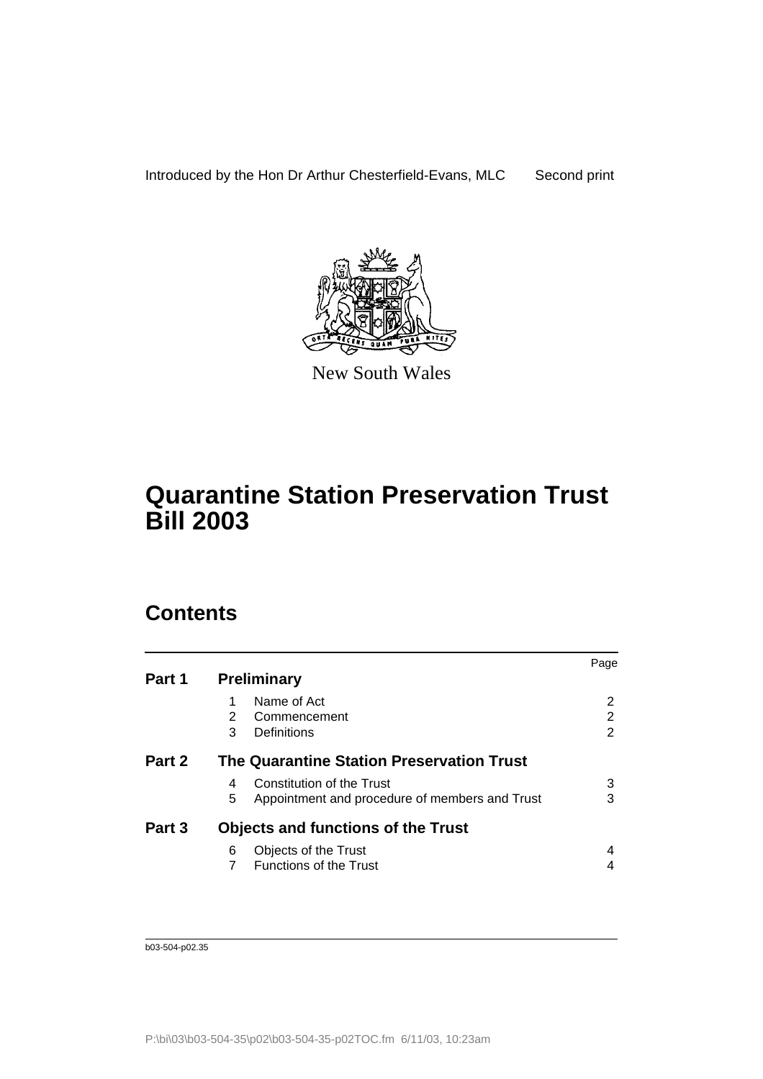Introduced by the Hon Dr Arthur Chesterfield-Evans, MLC Second print



New South Wales

# **Quarantine Station Preservation Trust Bill 2003**

# **Contents**

|        |   |                                                | Page |
|--------|---|------------------------------------------------|------|
| Part 1 |   | <b>Preliminary</b>                             |      |
|        |   | Name of Act                                    | 2    |
|        | 2 | Commencement                                   | 2    |
|        | 3 | Definitions                                    | 2    |
| Part 2 |   | The Quarantine Station Preservation Trust      |      |
|        | 4 | Constitution of the Trust                      | 3    |
|        | 5 | Appointment and procedure of members and Trust | 3    |
| Part 3 |   | Objects and functions of the Trust             |      |
|        | 6 | Objects of the Trust                           | 4    |
|        |   | <b>Functions of the Trust</b>                  | 4    |

b03-504-p02.35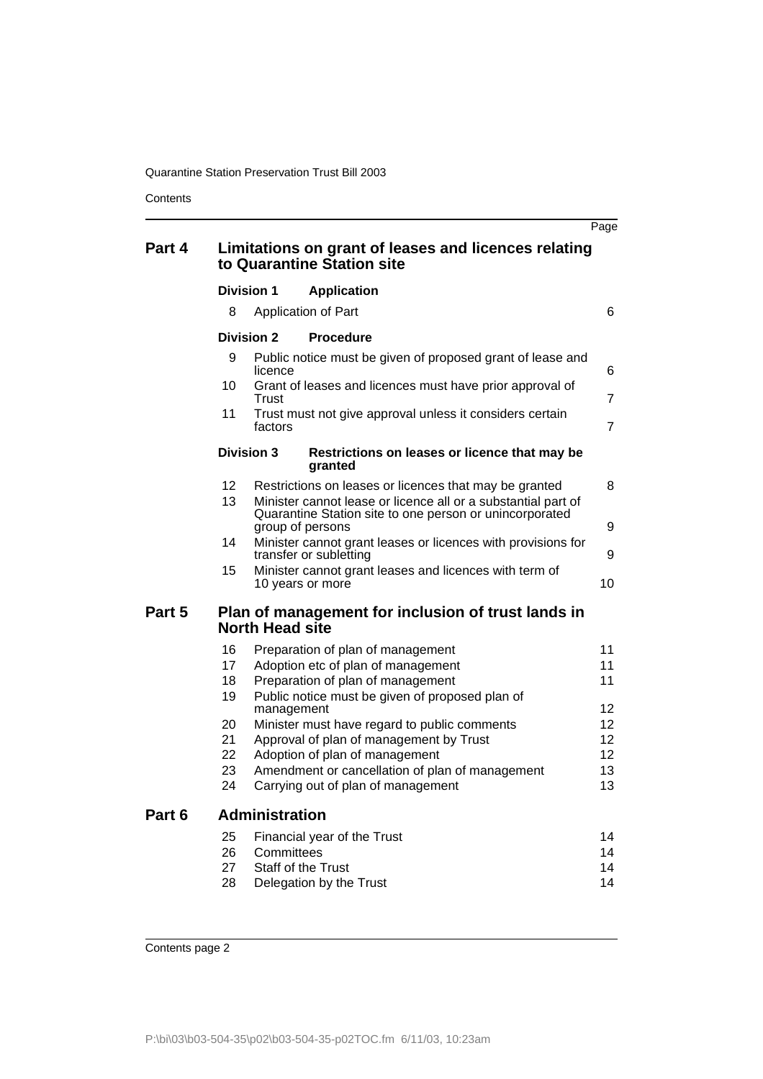**Contents** 

|        |                                                                                    |                        |                                                                                                                                                                                                                    | Page                  |  |  |
|--------|------------------------------------------------------------------------------------|------------------------|--------------------------------------------------------------------------------------------------------------------------------------------------------------------------------------------------------------------|-----------------------|--|--|
| Part 4 | Limitations on grant of leases and licences relating<br>to Quarantine Station site |                        |                                                                                                                                                                                                                    |                       |  |  |
|        | <b>Division 1</b>                                                                  |                        | <b>Application</b>                                                                                                                                                                                                 |                       |  |  |
|        | 8                                                                                  |                        | Application of Part                                                                                                                                                                                                | 6                     |  |  |
|        | <b>Division 2</b>                                                                  |                        | <b>Procedure</b>                                                                                                                                                                                                   |                       |  |  |
|        | 9                                                                                  | licence                | Public notice must be given of proposed grant of lease and                                                                                                                                                         | 6                     |  |  |
|        | 10                                                                                 | Trust                  | Grant of leases and licences must have prior approval of                                                                                                                                                           | 7                     |  |  |
|        | 11                                                                                 | factors                | Trust must not give approval unless it considers certain                                                                                                                                                           | 7                     |  |  |
|        | <b>Division 3</b>                                                                  |                        | Restrictions on leases or licence that may be<br>granted                                                                                                                                                           |                       |  |  |
|        | 12<br>13                                                                           |                        | Restrictions on leases or licences that may be granted<br>Minister cannot lease or licence all or a substantial part of<br>Quarantine Station site to one person or unincorporated<br>group of persons             | 8<br>9                |  |  |
|        | 14                                                                                 |                        | Minister cannot grant leases or licences with provisions for<br>transfer or subletting                                                                                                                             | 9                     |  |  |
|        | 15                                                                                 |                        | Minister cannot grant leases and licences with term of<br>10 years or more                                                                                                                                         | 10                    |  |  |
| Part 5 |                                                                                    | <b>North Head site</b> | Plan of management for inclusion of trust lands in                                                                                                                                                                 |                       |  |  |
|        | 16<br>17<br>18<br>19                                                               |                        | Preparation of plan of management<br>Adoption etc of plan of management<br>Preparation of plan of management<br>Public notice must be given of proposed plan of                                                    | 11<br>11<br>11        |  |  |
|        | 20                                                                                 | management             |                                                                                                                                                                                                                    | 12<br>12 <sup>°</sup> |  |  |
|        | 21<br>22<br>23<br>24                                                               |                        | Minister must have regard to public comments<br>Approval of plan of management by Trust<br>Adoption of plan of management<br>Amendment or cancellation of plan of management<br>Carrying out of plan of management | 12<br>12<br>13<br>13  |  |  |
| Part 6 |                                                                                    | <b>Administration</b>  |                                                                                                                                                                                                                    |                       |  |  |
|        | 25                                                                                 |                        | Financial vear of the Trust                                                                                                                                                                                        | 14                    |  |  |

| 25   | Financial year of the Trust | 14 |
|------|-----------------------------|----|
|      | 26 Committees               | 14 |
| - 27 | Staff of the Trust          | 14 |
| -28  | Delegation by the Trust     | 14 |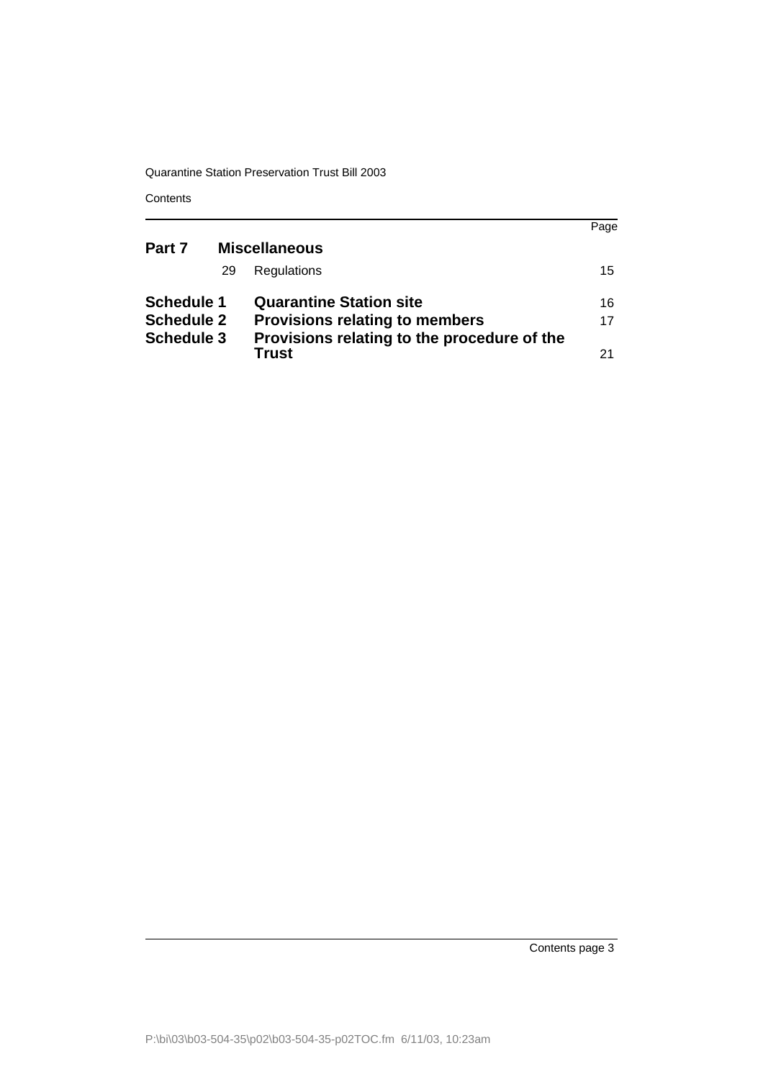**Contents** 

|                   |    |                                             | Page |
|-------------------|----|---------------------------------------------|------|
| Part 7            |    | <b>Miscellaneous</b>                        |      |
|                   | 29 | Regulations                                 | 15   |
| <b>Schedule 1</b> |    | <b>Quarantine Station site</b>              | 16   |
| <b>Schedule 2</b> |    | <b>Provisions relating to members</b>       | 17   |
| <b>Schedule 3</b> |    | Provisions relating to the procedure of the |      |
|                   |    | Trust                                       | 21   |

Contents page 3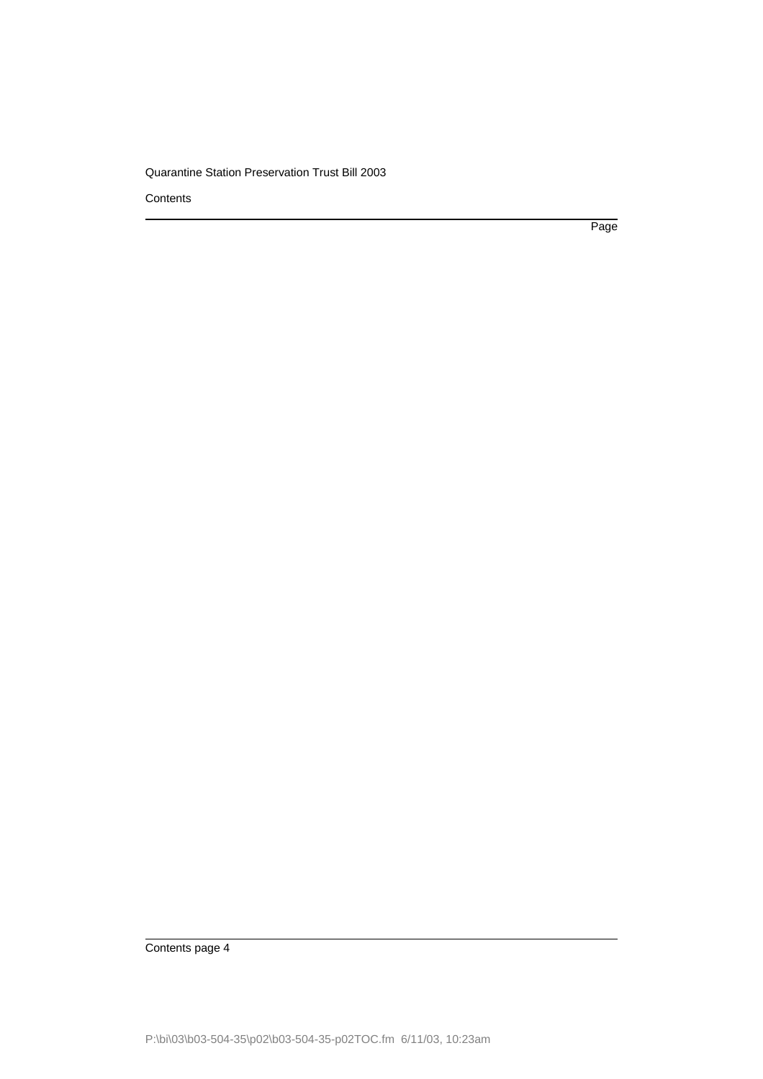**Contents** 

Page

Contents page 4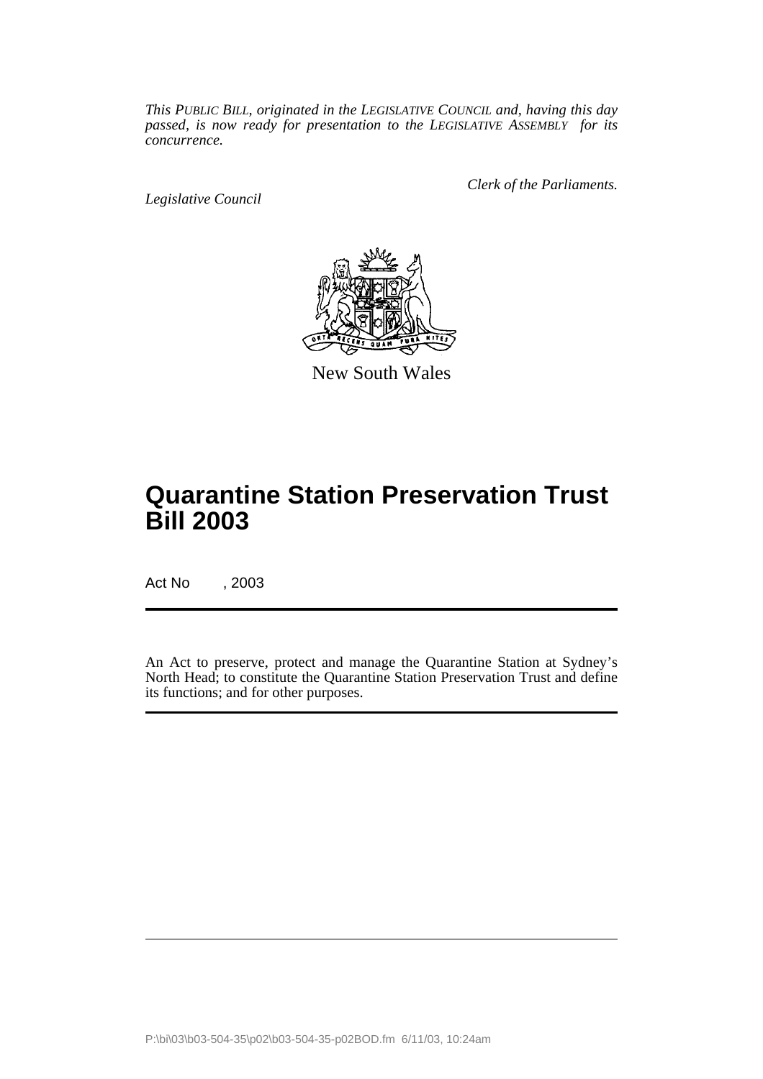*This PUBLIC BILL, originated in the LEGISLATIVE COUNCIL and, having this day passed, is now ready for presentation to the LEGISLATIVE ASSEMBLY for its concurrence.*

*Legislative Council*

*Clerk of the Parliaments.*



New South Wales

# **Quarantine Station Preservation Trust Bill 2003**

Act No , 2003

An Act to preserve, protect and manage the Quarantine Station at Sydney's North Head; to constitute the Quarantine Station Preservation Trust and define its functions; and for other purposes.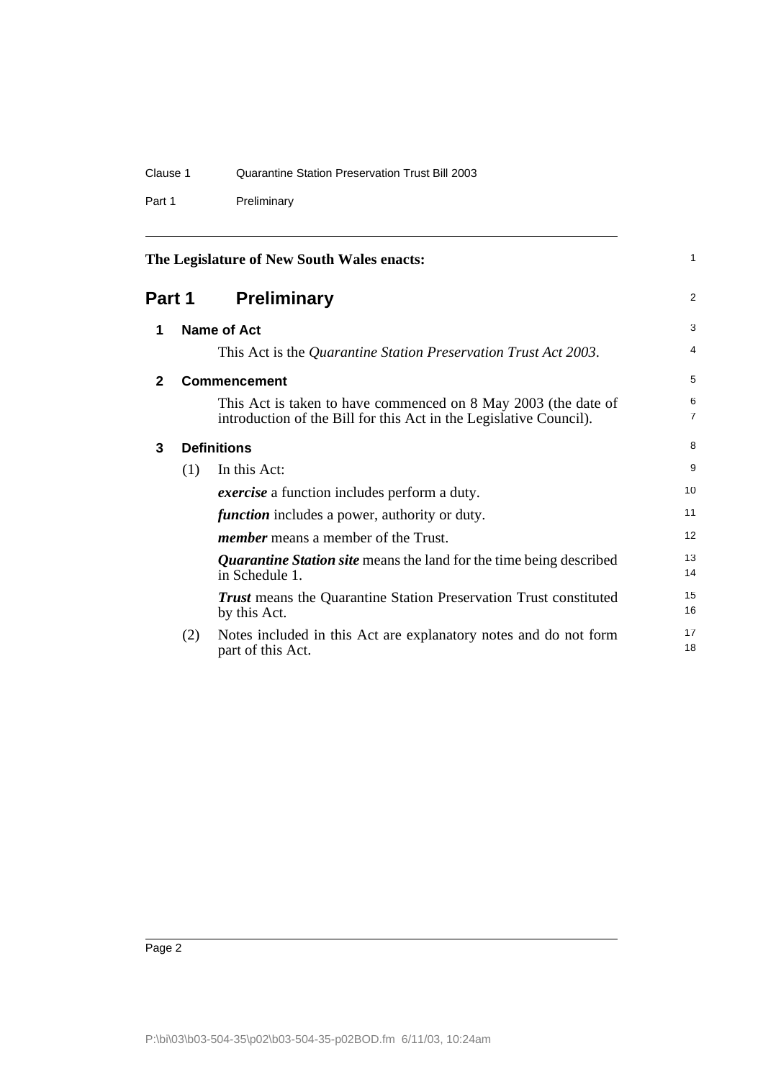Part 1 Preliminary

<span id="page-5-3"></span><span id="page-5-2"></span><span id="page-5-1"></span><span id="page-5-0"></span>

| The Legislature of New South Wales enacts: |     |                                                                                                                                      |                     |
|--------------------------------------------|-----|--------------------------------------------------------------------------------------------------------------------------------------|---------------------|
| Part 1                                     |     | <b>Preliminary</b>                                                                                                                   | $\overline{2}$      |
| 1                                          |     | <b>Name of Act</b>                                                                                                                   | 3                   |
|                                            |     | This Act is the Quarantine Station Preservation Trust Act 2003.                                                                      | $\overline{4}$      |
| $\mathbf{2}$                               |     | <b>Commencement</b>                                                                                                                  | 5                   |
|                                            |     | This Act is taken to have commenced on 8 May 2003 (the date of<br>introduction of the Bill for this Act in the Legislative Council). | 6<br>$\overline{7}$ |
| 3                                          |     | <b>Definitions</b>                                                                                                                   | 8                   |
|                                            | (1) | In this Act:                                                                                                                         | 9                   |
|                                            |     | <i>exercise</i> a function includes perform a duty.                                                                                  | 10                  |
|                                            |     | <i>function</i> includes a power, authority or duty.                                                                                 | 11                  |
|                                            |     | <i>member</i> means a member of the Trust.                                                                                           | 12                  |
|                                            |     | <i>Quarantine Station site</i> means the land for the time being described<br>in Schedule 1.                                         | 13<br>14            |
|                                            |     | <b>Trust</b> means the Quarantine Station Preservation Trust constituted<br>by this Act.                                             | 15<br>16            |
|                                            | (2) | Notes included in this Act are explanatory notes and do not form<br>part of this Act.                                                | 17<br>18            |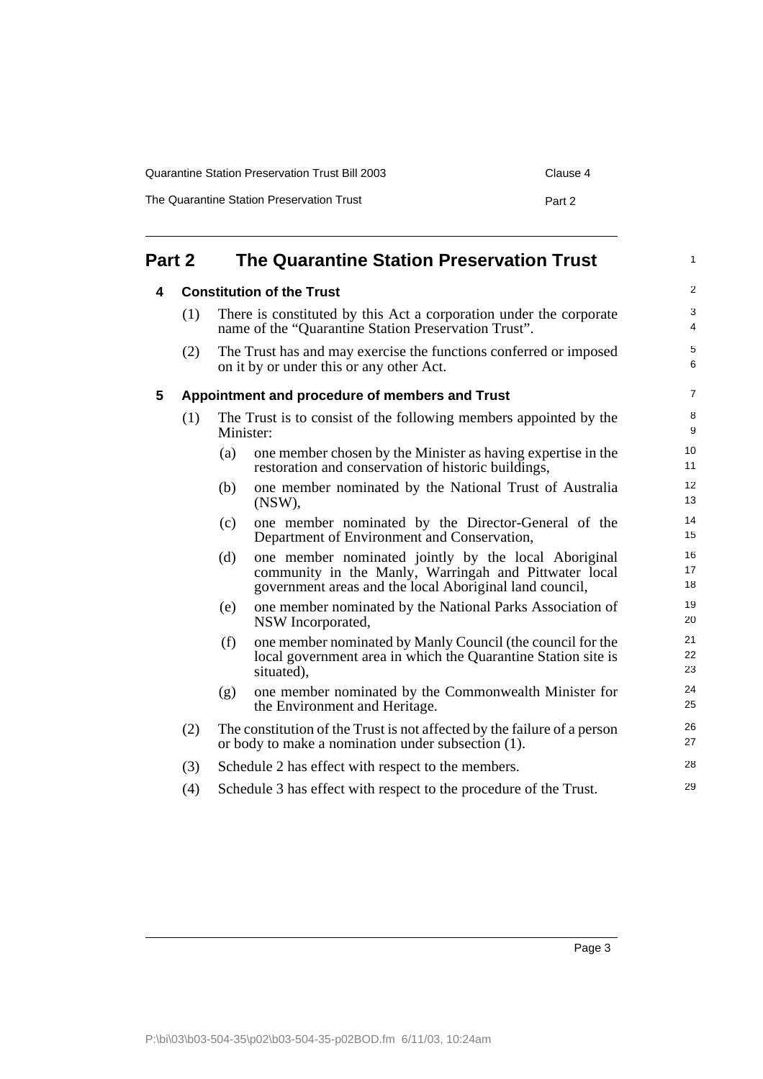| Quarantine Station Preservation Trust Bill 2003 | Clause 4 |
|-------------------------------------------------|----------|
| The Quarantine Station Preservation Trust       | Part 2   |

<span id="page-6-2"></span><span id="page-6-1"></span><span id="page-6-0"></span>

| Part 2<br><b>The Quarantine Station Preservation Trust</b> |                                                                                                           | $\mathbf{1}$                     |                                                                                                                                                                          |                |  |
|------------------------------------------------------------|-----------------------------------------------------------------------------------------------------------|----------------------------------|--------------------------------------------------------------------------------------------------------------------------------------------------------------------------|----------------|--|
| 4                                                          |                                                                                                           | <b>Constitution of the Trust</b> |                                                                                                                                                                          |                |  |
|                                                            | (1)                                                                                                       |                                  | There is constituted by this Act a corporation under the corporate<br>name of the "Quarantine Station Preservation Trust".                                               | 3<br>4         |  |
|                                                            | (2)                                                                                                       |                                  | The Trust has and may exercise the functions conferred or imposed<br>on it by or under this or any other Act.                                                            | 5<br>6         |  |
| 5                                                          |                                                                                                           |                                  | Appointment and procedure of members and Trust                                                                                                                           | $\overline{7}$ |  |
|                                                            | (1)                                                                                                       | Minister:                        | The Trust is to consist of the following members appointed by the                                                                                                        | 8<br>9         |  |
|                                                            |                                                                                                           | (a)                              | one member chosen by the Minister as having expertise in the<br>restoration and conservation of historic buildings,                                                      | 10<br>11       |  |
|                                                            | one member nominated by the National Trust of Australia<br>(b)<br>(NSW),                                  |                                  |                                                                                                                                                                          |                |  |
|                                                            | one member nominated by the Director-General of the<br>(c)<br>Department of Environment and Conservation, |                                  |                                                                                                                                                                          |                |  |
|                                                            |                                                                                                           | (d)                              | one member nominated jointly by the local Aboriginal<br>community in the Manly, Warringah and Pittwater local<br>government areas and the local Aboriginal land council, | 16<br>17<br>18 |  |
|                                                            |                                                                                                           | (e)                              | one member nominated by the National Parks Association of<br>NSW Incorporated,                                                                                           | 19<br>20       |  |
|                                                            |                                                                                                           | (f)                              | one member nominated by Manly Council (the council for the<br>local government area in which the Quarantine Station site is<br>situated),                                | 21<br>22<br>23 |  |
|                                                            |                                                                                                           | (g)                              | one member nominated by the Commonwealth Minister for<br>the Environment and Heritage.                                                                                   | 24<br>25       |  |
|                                                            | (2)                                                                                                       |                                  | The constitution of the Trust is not affected by the failure of a person<br>or body to make a nomination under subsection (1).                                           | 26<br>27       |  |
|                                                            | (3)                                                                                                       |                                  | Schedule 2 has effect with respect to the members.                                                                                                                       | 28             |  |
|                                                            | (4)                                                                                                       |                                  | Schedule 3 has effect with respect to the procedure of the Trust.                                                                                                        | 29             |  |
|                                                            |                                                                                                           |                                  |                                                                                                                                                                          |                |  |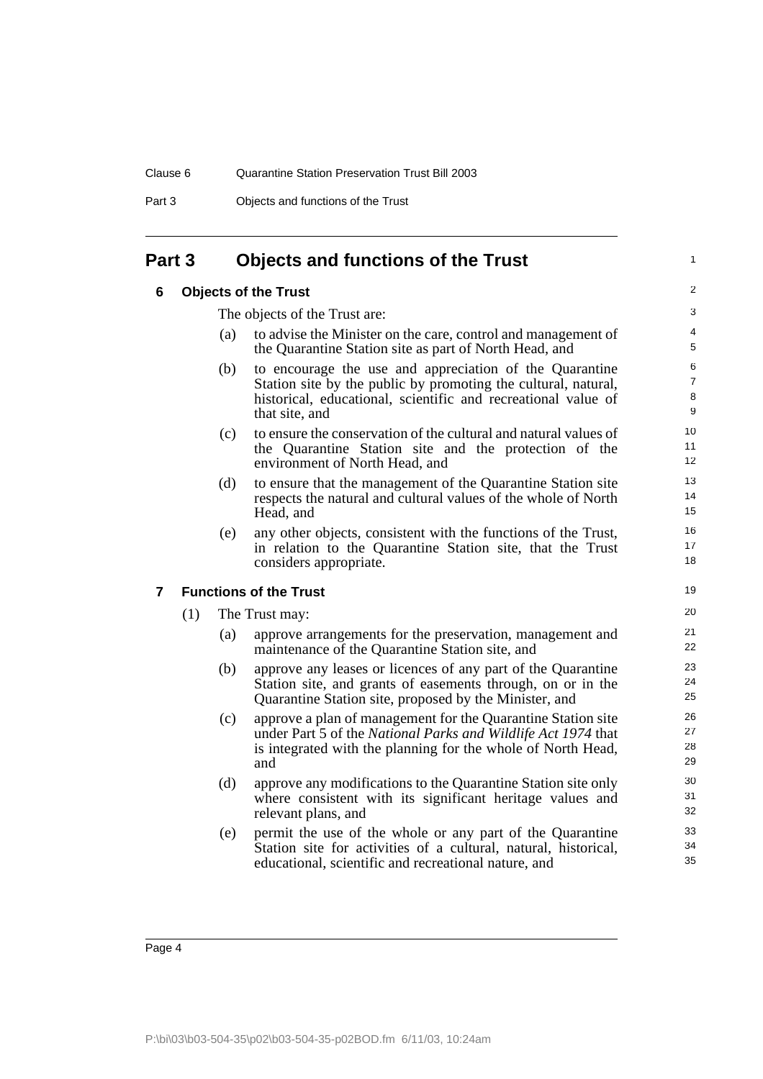Part 3 Objects and functions of the Trust

### <span id="page-7-1"></span><span id="page-7-0"></span>**Part 3 Objects and functions of the Trust**

#### **6 Objects of the Trust**

The objects of the Trust are:

(a) to advise the Minister on the care, control and management of the Quarantine Station site as part of North Head, and

1

- (b) to encourage the use and appreciation of the Quarantine Station site by the public by promoting the cultural, natural, historical, educational, scientific and recreational value of that site, and
- (c) to ensure the conservation of the cultural and natural values of the Quarantine Station site and the protection of the environment of North Head, and
- (d) to ensure that the management of the Quarantine Station site respects the natural and cultural values of the whole of North Head, and
- (e) any other objects, consistent with the functions of the Trust, in relation to the Quarantine Station site, that the Trust considers appropriate.

#### <span id="page-7-2"></span>**7 Functions of the Trust**

(1) The Trust may:

- (a) approve arrangements for the preservation, management and maintenance of the Quarantine Station site, and
- (b) approve any leases or licences of any part of the Quarantine Station site, and grants of easements through, on or in the Quarantine Station site, proposed by the Minister, and
- (c) approve a plan of management for the Quarantine Station site under Part 5 of the *National Parks and Wildlife Act 1974* that is integrated with the planning for the whole of North Head, and
- (d) approve any modifications to the Quarantine Station site only where consistent with its significant heritage values and relevant plans, and
- (e) permit the use of the whole or any part of the Quarantine Station site for activities of a cultural, natural, historical, educational, scientific and recreational nature, and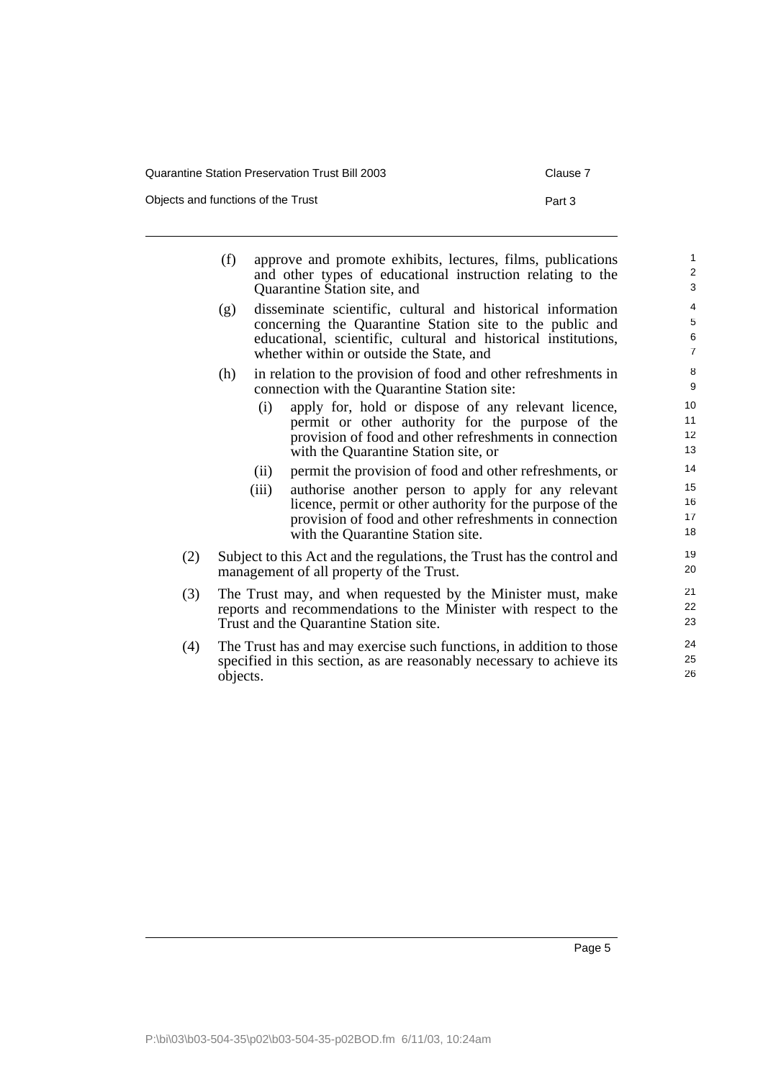Objects and functions of the Trust **Part 3** 

| (f) | approve and promote exhibits, lectures, films, publications<br>and other types of educational instruction relating to the<br>Quarantine Station site, and                                                                             |
|-----|---------------------------------------------------------------------------------------------------------------------------------------------------------------------------------------------------------------------------------------|
| (g) | disseminate scientific, cultural and historical information<br>concerning the Quarantine Station site to the public and<br>educational, scientific, cultural and historical institutions,<br>whether within or outside the State, and |
| (h) | in relation to the provision of food and other refreshments in<br>connection with the Quarantine Station site:                                                                                                                        |

- (i) apply for, hold or dispose of any relevant licence, permit or other authority for the purpose of the provision of food and other refreshments in connection with the Quarantine Station site, or
- (ii) permit the provision of food and other refreshments, or
- (iii) authorise another person to apply for any relevant licence, permit or other authority for the purpose of the provision of food and other refreshments in connection with the Quarantine Station site.
- (2) Subject to this Act and the regulations, the Trust has the control and management of all property of the Trust.
- (3) The Trust may, and when requested by the Minister must, make reports and recommendations to the Minister with respect to the Trust and the Quarantine Station site.
- (4) The Trust has and may exercise such functions, in addition to those specified in this section, as are reasonably necessary to achieve its objects.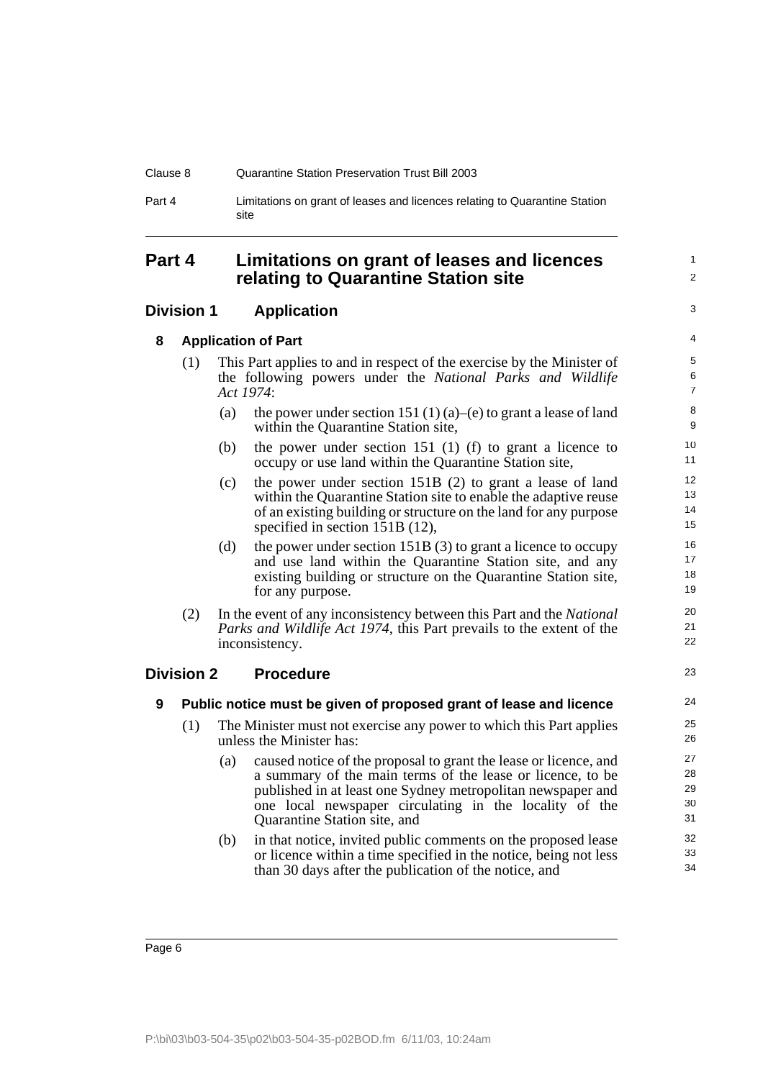### Clause 8 Quarantine Station Preservation Trust Bill 2003 Part 4 Limitations on grant of leases and licences relating to Quarantine Station site

## <span id="page-9-0"></span>**Part 4 Limitations on grant of leases and licences relating to Quarantine Station site**

### <span id="page-9-2"></span><span id="page-9-1"></span>**Division 1 Application**

### **8 Application of Part**

- (1) This Part applies to and in respect of the exercise by the Minister of the following powers under the *National Parks and Wildlife Act 1974*:
	- (a) the power under section 151 (1) (a)–(e) to grant a lease of land within the Quarantine Station site,

1  $\mathfrak{p}$ 

3

- (b) the power under section 151 (1) (f) to grant a licence to occupy or use land within the Quarantine Station site,
- (c) the power under section 151B (2) to grant a lease of land within the Quarantine Station site to enable the adaptive reuse of an existing building or structure on the land for any purpose specified in section 151B (12),
- (d) the power under section 151B (3) to grant a licence to occupy and use land within the Quarantine Station site, and any existing building or structure on the Quarantine Station site, for any purpose.
- (2) In the event of any inconsistency between this Part and the *National Parks and Wildlife Act 1974*, this Part prevails to the extent of the inconsistency.

### <span id="page-9-4"></span><span id="page-9-3"></span>**Division 2 Procedure**

**9 Public notice must be given of proposed grant of lease and licence** (1) The Minister must not exercise any power to which this Part applies unless the Minister has: (a) caused notice of the proposal to grant the lease or licence, and a summary of the main terms of the lease or licence, to be published in at least one Sydney metropolitan newspaper and one local newspaper circulating in the locality of the Quarantine Station site, and (b) in that notice, invited public comments on the proposed lease or licence within a time specified in the notice, being not less than 30 days after the publication of the notice, and 23 24 25 26 27 28 29 30 31 32 33 34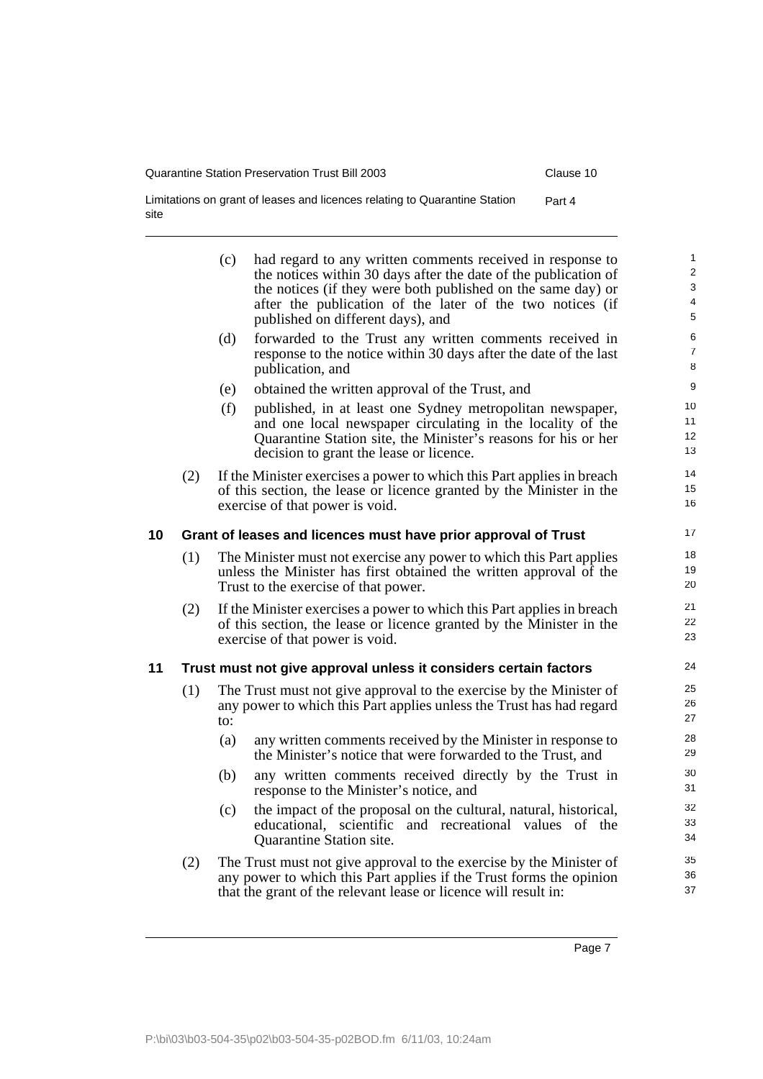Quarantine Station Preservation Trust Bill 2003 Clause 10

site

Limitations on grant of leases and licences relating to Quarantine Station Part 4

<span id="page-10-1"></span><span id="page-10-0"></span>(c) had regard to any written comments received in response to the notices within 30 days after the date of the publication of the notices (if they were both published on the same day) or after the publication of the later of the two notices (if published on different days), and (d) forwarded to the Trust any written comments received in response to the notice within 30 days after the date of the last publication, and (e) obtained the written approval of the Trust, and (f) published, in at least one Sydney metropolitan newspaper, and one local newspaper circulating in the locality of the Quarantine Station site, the Minister's reasons for his or her decision to grant the lease or licence. (2) If the Minister exercises a power to which this Part applies in breach of this section, the lease or licence granted by the Minister in the exercise of that power is void. **10 Grant of leases and licences must have prior approval of Trust** (1) The Minister must not exercise any power to which this Part applies unless the Minister has first obtained the written approval of the Trust to the exercise of that power. (2) If the Minister exercises a power to which this Part applies in breach of this section, the lease or licence granted by the Minister in the exercise of that power is void. **11 Trust must not give approval unless it considers certain factors** (1) The Trust must not give approval to the exercise by the Minister of any power to which this Part applies unless the Trust has had regard to: (a) any written comments received by the Minister in response to the Minister's notice that were forwarded to the Trust, and (b) any written comments received directly by the Trust in response to the Minister's notice, and (c) the impact of the proposal on the cultural, natural, historical, educational, scientific and recreational values of the Quarantine Station site. (2) The Trust must not give approval to the exercise by the Minister of any power to which this Part applies if the Trust forms the opinion that the grant of the relevant lease or licence will result in:

Page 7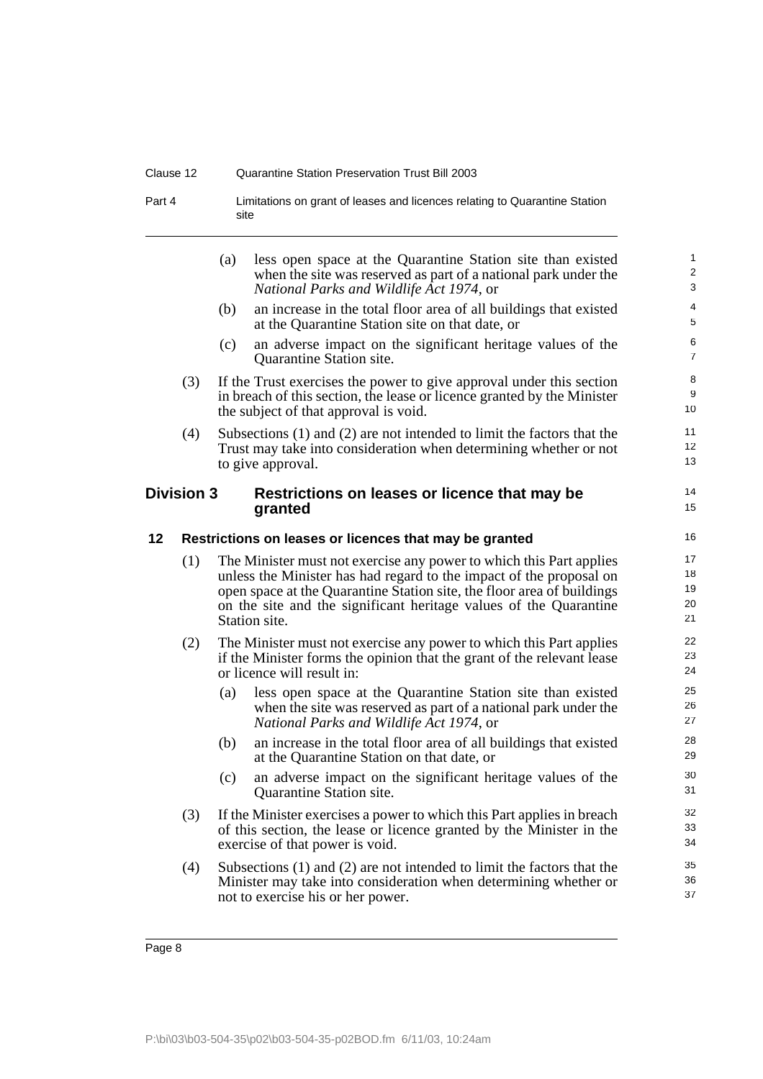#### Clause 12 Quarantine Station Preservation Trust Bill 2003

Part 4 Limitations on grant of leases and licences relating to Quarantine Station site

> (a) less open space at the Quarantine Station site than existed when the site was reserved as part of a national park under the *National Parks and Wildlife Act 1974*, or

14 15

- (b) an increase in the total floor area of all buildings that existed at the Quarantine Station site on that date, or
- (c) an adverse impact on the significant heritage values of the Quarantine Station site.
- (3) If the Trust exercises the power to give approval under this section in breach of this section, the lease or licence granted by the Minister the subject of that approval is void.
- (4) Subsections (1) and (2) are not intended to limit the factors that the Trust may take into consideration when determining whether or not to give approval.

#### <span id="page-11-0"></span>**Division 3 Restrictions on leases or licence that may be granted**

#### <span id="page-11-1"></span>**12 Restrictions on leases or licences that may be granted**

- (1) The Minister must not exercise any power to which this Part applies unless the Minister has had regard to the impact of the proposal on open space at the Quarantine Station site, the floor area of buildings on the site and the significant heritage values of the Quarantine Station site.
- (2) The Minister must not exercise any power to which this Part applies if the Minister forms the opinion that the grant of the relevant lease or licence will result in:
	- (a) less open space at the Quarantine Station site than existed when the site was reserved as part of a national park under the *National Parks and Wildlife Act 1974*, or
	- (b) an increase in the total floor area of all buildings that existed at the Quarantine Station on that date, or
	- (c) an adverse impact on the significant heritage values of the Quarantine Station site.
- (3) If the Minister exercises a power to which this Part applies in breach of this section, the lease or licence granted by the Minister in the exercise of that power is void.
- (4) Subsections (1) and (2) are not intended to limit the factors that the Minister may take into consideration when determining whether or not to exercise his or her power.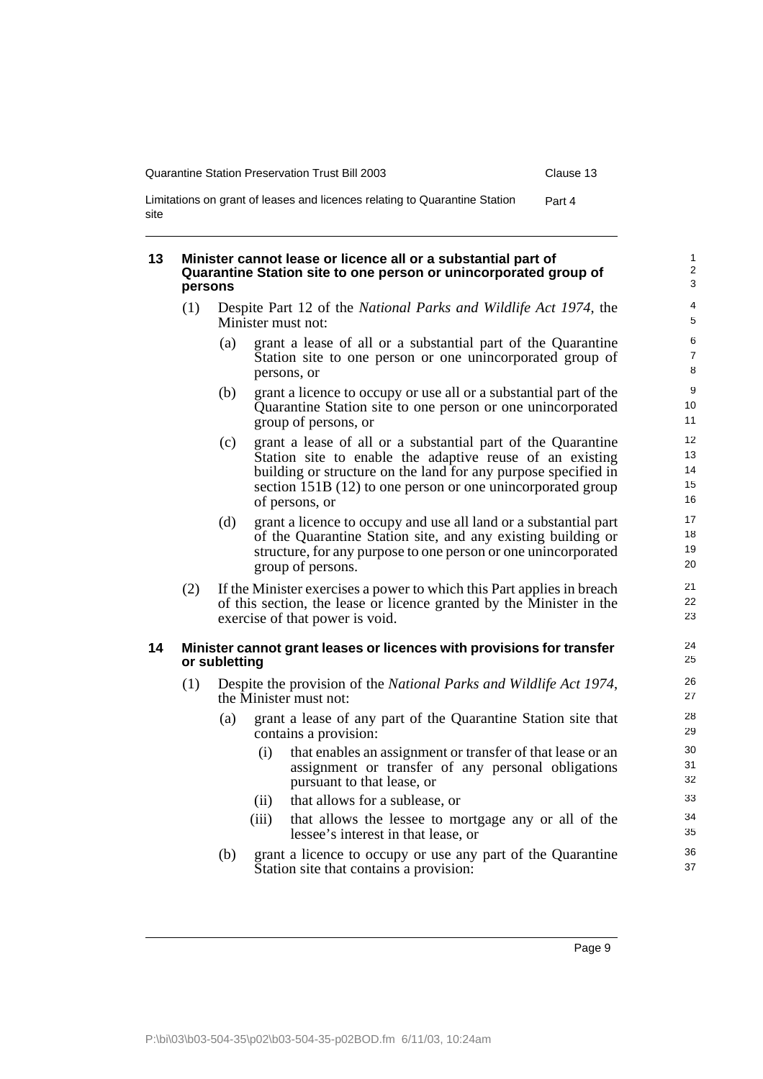Quarantine Station Preservation Trust Bill 2003 Clause 13

Limitations on grant of leases and licences relating to Quarantine Station Part 4 site

#### <span id="page-12-0"></span>**13 Minister cannot lease or licence all or a substantial part of Quarantine Station site to one person or unincorporated group of persons**

- (1) Despite Part 12 of the *National Parks and Wildlife Act 1974*, the Minister must not:
	- (a) grant a lease of all or a substantial part of the Quarantine Station site to one person or one unincorporated group of persons, or
	- (b) grant a licence to occupy or use all or a substantial part of the Quarantine Station site to one person or one unincorporated group of persons, or
	- (c) grant a lease of all or a substantial part of the Quarantine Station site to enable the adaptive reuse of an existing building or structure on the land for any purpose specified in section 151B (12) to one person or one unincorporated group of persons, or
	- (d) grant a licence to occupy and use all land or a substantial part of the Quarantine Station site, and any existing building or structure, for any purpose to one person or one unincorporated group of persons.
- (2) If the Minister exercises a power to which this Part applies in breach of this section, the lease or licence granted by the Minister in the exercise of that power is void.

#### <span id="page-12-1"></span>**14 Minister cannot grant leases or licences with provisions for transfer or subletting**

- (1) Despite the provision of the *National Parks and Wildlife Act 1974*, the Minister must not:
	- (a) grant a lease of any part of the Quarantine Station site that contains a provision:
		- (i) that enables an assignment or transfer of that lease or an assignment or transfer of any personal obligations pursuant to that lease, or
		- (ii) that allows for a sublease, or
		- (iii) that allows the lessee to mortgage any or all of the lessee's interest in that lease, or
	- (b) grant a licence to occupy or use any part of the Quarantine Station site that contains a provision: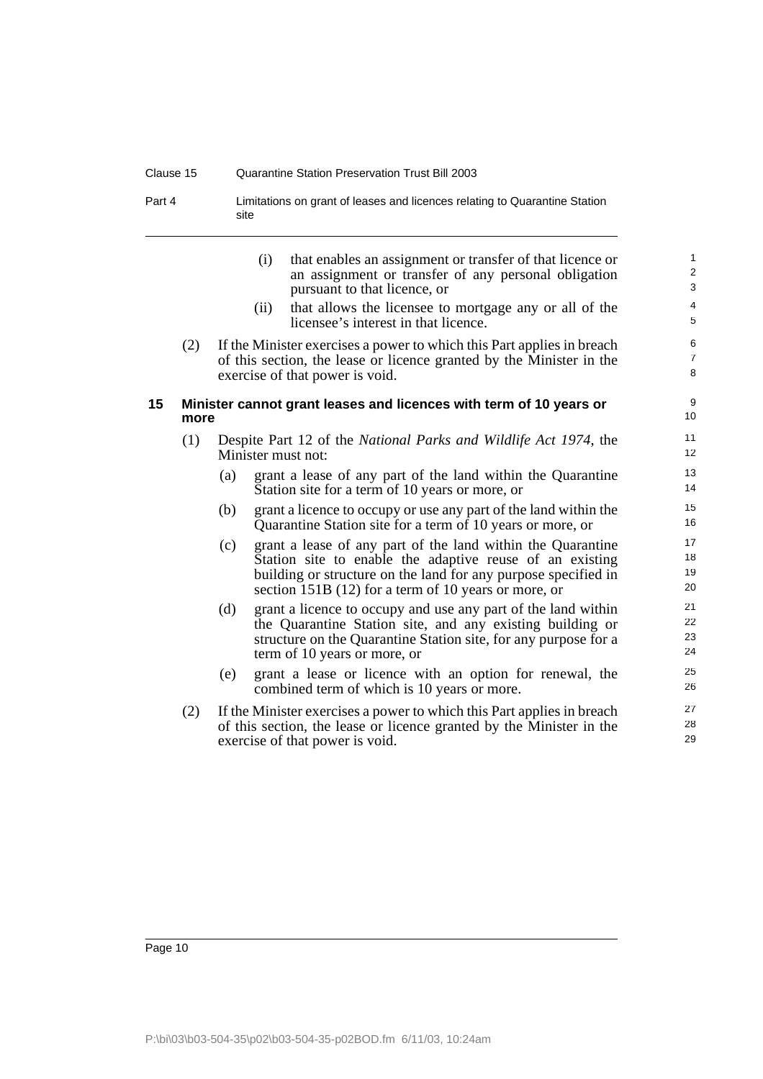#### Clause 15 Quarantine Station Preservation Trust Bill 2003

| Part 4 | Limitations on grant of leases and licences relating to Quarantine Station |
|--------|----------------------------------------------------------------------------|
|        | site                                                                       |

<span id="page-13-0"></span>

|    |      |     | that enables an assignment or transfer of that licence or<br>(i)<br>an assignment or transfer of any personal obligation<br>pursuant to that licence, or<br>that allows the licensee to mortgage any or all of the<br>(ii)<br>licensee's interest in that licence. | $\mathbf{1}$<br>$\overline{2}$<br>3<br>$\overline{4}$<br>5 |
|----|------|-----|--------------------------------------------------------------------------------------------------------------------------------------------------------------------------------------------------------------------------------------------------------------------|------------------------------------------------------------|
|    | (2)  |     | If the Minister exercises a power to which this Part applies in breach<br>of this section, the lease or licence granted by the Minister in the<br>exercise of that power is void.                                                                                  | 6<br>$\overline{7}$<br>8                                   |
| 15 | more |     | Minister cannot grant leases and licences with term of 10 years or                                                                                                                                                                                                 | 9<br>10                                                    |
|    | (1)  |     | Despite Part 12 of the National Parks and Wildlife Act 1974, the<br>Minister must not:                                                                                                                                                                             | 11<br>12                                                   |
|    |      | (a) | grant a lease of any part of the land within the Quarantine<br>Station site for a term of 10 years or more, or                                                                                                                                                     | 13<br>14                                                   |
|    |      | (b) | grant a licence to occupy or use any part of the land within the<br>Quarantine Station site for a term of 10 years or more, or                                                                                                                                     | 15<br>16                                                   |
|    |      | (c) | grant a lease of any part of the land within the Quarantine<br>Station site to enable the adaptive reuse of an existing<br>building or structure on the land for any purpose specified in<br>section 151B (12) for a term of 10 years or more, or                  | 17<br>18<br>19<br>20                                       |
|    |      | (d) | grant a licence to occupy and use any part of the land within<br>the Quarantine Station site, and any existing building or<br>structure on the Quarantine Station site, for any purpose for a<br>term of 10 years or more, or                                      | 21<br>22<br>23<br>24                                       |
|    |      | (e) | grant a lease or licence with an option for renewal, the<br>combined term of which is 10 years or more.                                                                                                                                                            | 25<br>26                                                   |
|    | (2)  |     | If the Minister exercises a power to which this Part applies in breach<br>of this section, the lease or licence granted by the Minister in the<br>exercise of that power is void.                                                                                  | 27<br>28<br>29                                             |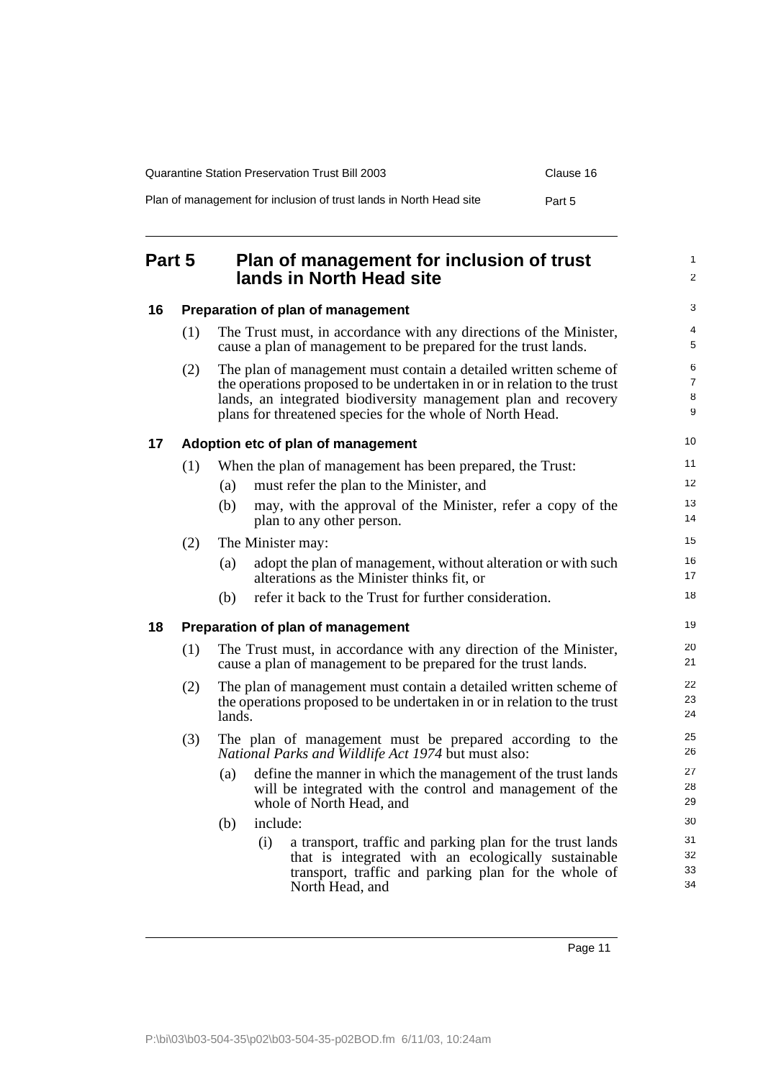| Quarantine Station Preservation Trust Bill 2003                    | Clause 16 |
|--------------------------------------------------------------------|-----------|
| Plan of management for inclusion of trust lands in North Head site | Part 5    |

#### <span id="page-14-3"></span><span id="page-14-2"></span><span id="page-14-1"></span><span id="page-14-0"></span>**Part 5 Plan of management for inclusion of trust lands in North Head site 16 Preparation of plan of management** (1) The Trust must, in accordance with any directions of the Minister, cause a plan of management to be prepared for the trust lands. (2) The plan of management must contain a detailed written scheme of the operations proposed to be undertaken in or in relation to the trust lands, an integrated biodiversity management plan and recovery plans for threatened species for the whole of North Head. **17 Adoption etc of plan of management** (1) When the plan of management has been prepared, the Trust: (a) must refer the plan to the Minister, and (b) may, with the approval of the Minister, refer a copy of the plan to any other person. (2) The Minister may: (a) adopt the plan of management, without alteration or with such alterations as the Minister thinks fit, or (b) refer it back to the Trust for further consideration. **18 Preparation of plan of management** (1) The Trust must, in accordance with any direction of the Minister, cause a plan of management to be prepared for the trust lands. (2) The plan of management must contain a detailed written scheme of the operations proposed to be undertaken in or in relation to the trust lands. (3) The plan of management must be prepared according to the *National Parks and Wildlife Act 1974* but must also: (a) define the manner in which the management of the trust lands will be integrated with the control and management of the whole of North Head, and (b) include: (i) a transport, traffic and parking plan for the trust lands that is integrated with an ecologically sustainable transport, traffic and parking plan for the whole of North Head, and 1  $\mathfrak{p}$ 3 4 5 6 7 8 9  $1<sub>0</sub>$ 11 12 13 14 15 16 17 18 19 20 21 22 23 24 25 26 27  $28$ 29 30 31 32 33 34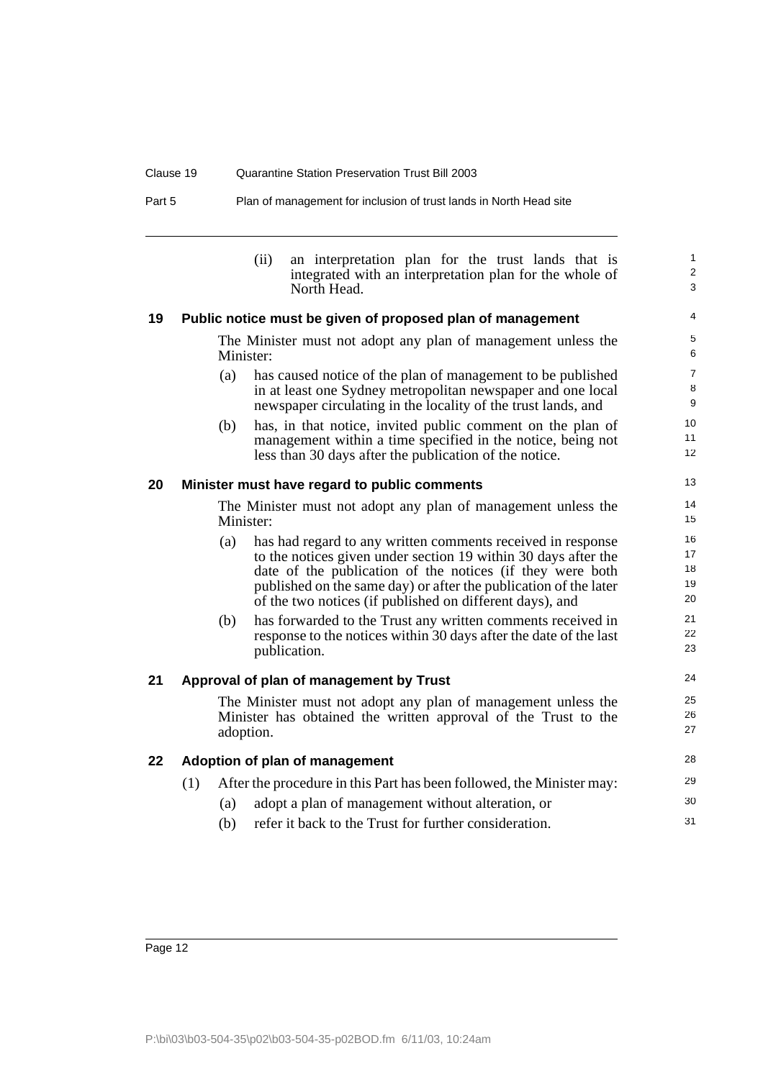Part 5 Plan of management for inclusion of trust lands in North Head site

<span id="page-15-3"></span><span id="page-15-2"></span><span id="page-15-1"></span><span id="page-15-0"></span>

|     | (ii) | an interpretation plan for the trust lands that is                            | $\mathbf{1}$                                                                                                                                                                                                                                                                                                                                                                                                                                                                                                                                                                                                                                                                                                                                                                                                                                                                                                                                                                                                                                                                                                                                                                                                                                                                                                                                                                                                                                                                                                                                                                                          |
|-----|------|-------------------------------------------------------------------------------|-------------------------------------------------------------------------------------------------------------------------------------------------------------------------------------------------------------------------------------------------------------------------------------------------------------------------------------------------------------------------------------------------------------------------------------------------------------------------------------------------------------------------------------------------------------------------------------------------------------------------------------------------------------------------------------------------------------------------------------------------------------------------------------------------------------------------------------------------------------------------------------------------------------------------------------------------------------------------------------------------------------------------------------------------------------------------------------------------------------------------------------------------------------------------------------------------------------------------------------------------------------------------------------------------------------------------------------------------------------------------------------------------------------------------------------------------------------------------------------------------------------------------------------------------------------------------------------------------------|
|     |      |                                                                               | $\overline{2}$<br>3                                                                                                                                                                                                                                                                                                                                                                                                                                                                                                                                                                                                                                                                                                                                                                                                                                                                                                                                                                                                                                                                                                                                                                                                                                                                                                                                                                                                                                                                                                                                                                                   |
|     |      |                                                                               |                                                                                                                                                                                                                                                                                                                                                                                                                                                                                                                                                                                                                                                                                                                                                                                                                                                                                                                                                                                                                                                                                                                                                                                                                                                                                                                                                                                                                                                                                                                                                                                                       |
|     |      |                                                                               | 4                                                                                                                                                                                                                                                                                                                                                                                                                                                                                                                                                                                                                                                                                                                                                                                                                                                                                                                                                                                                                                                                                                                                                                                                                                                                                                                                                                                                                                                                                                                                                                                                     |
|     |      |                                                                               | 5                                                                                                                                                                                                                                                                                                                                                                                                                                                                                                                                                                                                                                                                                                                                                                                                                                                                                                                                                                                                                                                                                                                                                                                                                                                                                                                                                                                                                                                                                                                                                                                                     |
|     |      |                                                                               | 6                                                                                                                                                                                                                                                                                                                                                                                                                                                                                                                                                                                                                                                                                                                                                                                                                                                                                                                                                                                                                                                                                                                                                                                                                                                                                                                                                                                                                                                                                                                                                                                                     |
|     |      |                                                                               | $\overline{7}$<br>8                                                                                                                                                                                                                                                                                                                                                                                                                                                                                                                                                                                                                                                                                                                                                                                                                                                                                                                                                                                                                                                                                                                                                                                                                                                                                                                                                                                                                                                                                                                                                                                   |
|     |      |                                                                               | 9                                                                                                                                                                                                                                                                                                                                                                                                                                                                                                                                                                                                                                                                                                                                                                                                                                                                                                                                                                                                                                                                                                                                                                                                                                                                                                                                                                                                                                                                                                                                                                                                     |
|     |      |                                                                               | 10                                                                                                                                                                                                                                                                                                                                                                                                                                                                                                                                                                                                                                                                                                                                                                                                                                                                                                                                                                                                                                                                                                                                                                                                                                                                                                                                                                                                                                                                                                                                                                                                    |
|     |      |                                                                               | 11<br>12                                                                                                                                                                                                                                                                                                                                                                                                                                                                                                                                                                                                                                                                                                                                                                                                                                                                                                                                                                                                                                                                                                                                                                                                                                                                                                                                                                                                                                                                                                                                                                                              |
|     |      |                                                                               |                                                                                                                                                                                                                                                                                                                                                                                                                                                                                                                                                                                                                                                                                                                                                                                                                                                                                                                                                                                                                                                                                                                                                                                                                                                                                                                                                                                                                                                                                                                                                                                                       |
|     |      |                                                                               | 13                                                                                                                                                                                                                                                                                                                                                                                                                                                                                                                                                                                                                                                                                                                                                                                                                                                                                                                                                                                                                                                                                                                                                                                                                                                                                                                                                                                                                                                                                                                                                                                                    |
|     |      |                                                                               | 14<br>15                                                                                                                                                                                                                                                                                                                                                                                                                                                                                                                                                                                                                                                                                                                                                                                                                                                                                                                                                                                                                                                                                                                                                                                                                                                                                                                                                                                                                                                                                                                                                                                              |
|     |      |                                                                               | 16                                                                                                                                                                                                                                                                                                                                                                                                                                                                                                                                                                                                                                                                                                                                                                                                                                                                                                                                                                                                                                                                                                                                                                                                                                                                                                                                                                                                                                                                                                                                                                                                    |
|     |      |                                                                               | 17<br>18                                                                                                                                                                                                                                                                                                                                                                                                                                                                                                                                                                                                                                                                                                                                                                                                                                                                                                                                                                                                                                                                                                                                                                                                                                                                                                                                                                                                                                                                                                                                                                                              |
|     |      |                                                                               | 19                                                                                                                                                                                                                                                                                                                                                                                                                                                                                                                                                                                                                                                                                                                                                                                                                                                                                                                                                                                                                                                                                                                                                                                                                                                                                                                                                                                                                                                                                                                                                                                                    |
|     |      |                                                                               | 20                                                                                                                                                                                                                                                                                                                                                                                                                                                                                                                                                                                                                                                                                                                                                                                                                                                                                                                                                                                                                                                                                                                                                                                                                                                                                                                                                                                                                                                                                                                                                                                                    |
|     |      |                                                                               | 21                                                                                                                                                                                                                                                                                                                                                                                                                                                                                                                                                                                                                                                                                                                                                                                                                                                                                                                                                                                                                                                                                                                                                                                                                                                                                                                                                                                                                                                                                                                                                                                                    |
|     |      |                                                                               | 22<br>23                                                                                                                                                                                                                                                                                                                                                                                                                                                                                                                                                                                                                                                                                                                                                                                                                                                                                                                                                                                                                                                                                                                                                                                                                                                                                                                                                                                                                                                                                                                                                                                              |
|     |      |                                                                               |                                                                                                                                                                                                                                                                                                                                                                                                                                                                                                                                                                                                                                                                                                                                                                                                                                                                                                                                                                                                                                                                                                                                                                                                                                                                                                                                                                                                                                                                                                                                                                                                       |
|     |      |                                                                               | 24                                                                                                                                                                                                                                                                                                                                                                                                                                                                                                                                                                                                                                                                                                                                                                                                                                                                                                                                                                                                                                                                                                                                                                                                                                                                                                                                                                                                                                                                                                                                                                                                    |
|     |      |                                                                               | 25                                                                                                                                                                                                                                                                                                                                                                                                                                                                                                                                                                                                                                                                                                                                                                                                                                                                                                                                                                                                                                                                                                                                                                                                                                                                                                                                                                                                                                                                                                                                                                                                    |
|     |      |                                                                               | 26<br>27                                                                                                                                                                                                                                                                                                                                                                                                                                                                                                                                                                                                                                                                                                                                                                                                                                                                                                                                                                                                                                                                                                                                                                                                                                                                                                                                                                                                                                                                                                                                                                                              |
|     |      |                                                                               | 28                                                                                                                                                                                                                                                                                                                                                                                                                                                                                                                                                                                                                                                                                                                                                                                                                                                                                                                                                                                                                                                                                                                                                                                                                                                                                                                                                                                                                                                                                                                                                                                                    |
| (1) |      |                                                                               | 29                                                                                                                                                                                                                                                                                                                                                                                                                                                                                                                                                                                                                                                                                                                                                                                                                                                                                                                                                                                                                                                                                                                                                                                                                                                                                                                                                                                                                                                                                                                                                                                                    |
|     |      |                                                                               | 30                                                                                                                                                                                                                                                                                                                                                                                                                                                                                                                                                                                                                                                                                                                                                                                                                                                                                                                                                                                                                                                                                                                                                                                                                                                                                                                                                                                                                                                                                                                                                                                                    |
|     |      |                                                                               | 31                                                                                                                                                                                                                                                                                                                                                                                                                                                                                                                                                                                                                                                                                                                                                                                                                                                                                                                                                                                                                                                                                                                                                                                                                                                                                                                                                                                                                                                                                                                                                                                                    |
|     |      | Minister:<br>(a)<br>(b)<br>Minister:<br>(a)<br>(b)<br>adoption.<br>(a)<br>(b) | integrated with an interpretation plan for the whole of<br>North Head.<br>Public notice must be given of proposed plan of management<br>The Minister must not adopt any plan of management unless the<br>has caused notice of the plan of management to be published<br>in at least one Sydney metropolitan newspaper and one local<br>newspaper circulating in the locality of the trust lands, and<br>has, in that notice, invited public comment on the plan of<br>management within a time specified in the notice, being not<br>less than 30 days after the publication of the notice.<br>Minister must have regard to public comments<br>The Minister must not adopt any plan of management unless the<br>has had regard to any written comments received in response<br>to the notices given under section 19 within 30 days after the<br>date of the publication of the notices (if they were both<br>published on the same day) or after the publication of the later<br>of the two notices (if published on different days), and<br>has forwarded to the Trust any written comments received in<br>response to the notices within 30 days after the date of the last<br>publication.<br>Approval of plan of management by Trust<br>The Minister must not adopt any plan of management unless the<br>Minister has obtained the written approval of the Trust to the<br>Adoption of plan of management<br>After the procedure in this Part has been followed, the Minister may:<br>adopt a plan of management without alteration, or<br>refer it back to the Trust for further consideration. |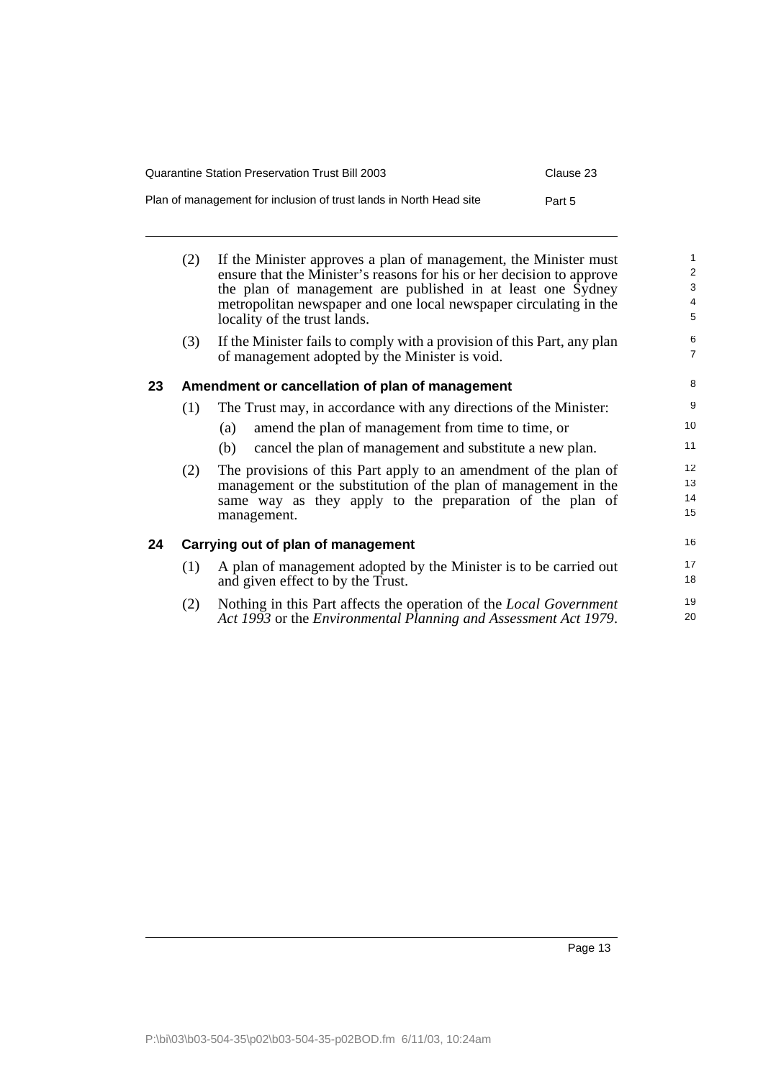| Quarantine Station Preservation Trust Bill 2003                    | Clause 23 |
|--------------------------------------------------------------------|-----------|
| Plan of management for inclusion of trust lands in North Head site | Part 5    |

<span id="page-16-1"></span><span id="page-16-0"></span>

|    | (2) | If the Minister approves a plan of management, the Minister must<br>ensure that the Minister's reasons for his or her decision to approve<br>the plan of management are published in at least one Sydney<br>metropolitan newspaper and one local newspaper circulating in the<br>locality of the trust lands. | 1<br>$\overline{\mathbf{c}}$<br>3<br>4<br>5 |
|----|-----|---------------------------------------------------------------------------------------------------------------------------------------------------------------------------------------------------------------------------------------------------------------------------------------------------------------|---------------------------------------------|
|    | (3) | If the Minister fails to comply with a provision of this Part, any plan<br>of management adopted by the Minister is void.                                                                                                                                                                                     | 6<br>$\overline{7}$                         |
| 23 |     | Amendment or cancellation of plan of management                                                                                                                                                                                                                                                               | 8                                           |
|    | (1) | The Trust may, in accordance with any directions of the Minister:                                                                                                                                                                                                                                             | 9                                           |
|    |     | amend the plan of management from time to time, or<br>(a)                                                                                                                                                                                                                                                     | 10                                          |
|    |     | cancel the plan of management and substitute a new plan.<br>(b)                                                                                                                                                                                                                                               | 11                                          |
|    | (2) | The provisions of this Part apply to an amendment of the plan of                                                                                                                                                                                                                                              | 12                                          |
|    |     | management or the substitution of the plan of management in the                                                                                                                                                                                                                                               | 13                                          |
|    |     | same way as they apply to the preparation of the plan of                                                                                                                                                                                                                                                      | 14                                          |
|    |     | management.                                                                                                                                                                                                                                                                                                   | 15                                          |
| 24 |     | Carrying out of plan of management                                                                                                                                                                                                                                                                            | 16                                          |
|    | (1) | A plan of management adopted by the Minister is to be carried out                                                                                                                                                                                                                                             | 17                                          |
|    |     | and given effect to by the Trust.                                                                                                                                                                                                                                                                             | 18                                          |
|    | (2) | Nothing in this Part affects the operation of the <i>Local Government</i>                                                                                                                                                                                                                                     | 19                                          |
|    |     | Act 1993 or the Environmental Planning and Assessment Act 1979.                                                                                                                                                                                                                                               | 20                                          |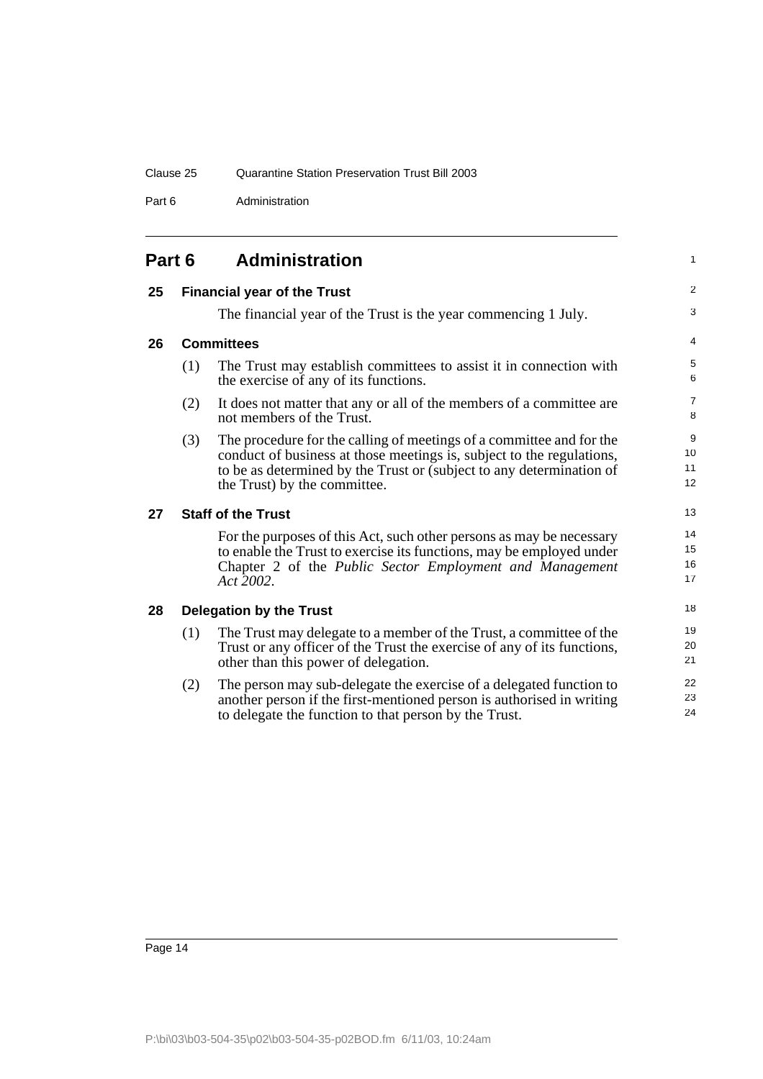### Clause 25 Quarantine Station Preservation Trust Bill 2003

Part 6 **Administration** 

<span id="page-17-0"></span>

| Part 6 | <b>Administration</b> |
|--------|-----------------------|
|--------|-----------------------|

<span id="page-17-4"></span><span id="page-17-3"></span><span id="page-17-2"></span><span id="page-17-1"></span>

| 25 |     | <b>Financial year of the Trust</b>                                                                                                                                                                                                                    | $\overline{c}$       |
|----|-----|-------------------------------------------------------------------------------------------------------------------------------------------------------------------------------------------------------------------------------------------------------|----------------------|
|    |     | The financial year of the Trust is the year commencing 1 July.                                                                                                                                                                                        | 3                    |
| 26 |     | <b>Committees</b>                                                                                                                                                                                                                                     | $\overline{4}$       |
|    | (1) | The Trust may establish committees to assist it in connection with<br>the exercise of any of its functions.                                                                                                                                           | 5<br>6               |
|    | (2) | It does not matter that any or all of the members of a committee are<br>not members of the Trust.                                                                                                                                                     | 7<br>8               |
|    | (3) | The procedure for the calling of meetings of a committee and for the<br>conduct of business at those meetings is, subject to the regulations,<br>to be as determined by the Trust or (subject to any determination of<br>the Trust) by the committee. | 9<br>10<br>11<br>12  |
| 27 |     | <b>Staff of the Trust</b>                                                                                                                                                                                                                             | 13                   |
|    |     | For the purposes of this Act, such other persons as may be necessary<br>to enable the Trust to exercise its functions, may be employed under<br>Chapter 2 of the Public Sector Employment and Management<br>Act 2002.                                 | 14<br>15<br>16<br>17 |
| 28 |     | <b>Delegation by the Trust</b>                                                                                                                                                                                                                        | 18                   |
|    | (1) | The Trust may delegate to a member of the Trust, a committee of the<br>Trust or any officer of the Trust the exercise of any of its functions,<br>other than this power of delegation.                                                                | 19<br>20<br>21       |
|    | (2) | The person may sub-delegate the exercise of a delegated function to<br>another person if the first-mentioned person is authorised in writing<br>to delegate the function to that person by the Trust.                                                 | 22<br>23<br>24       |
|    |     |                                                                                                                                                                                                                                                       |                      |

1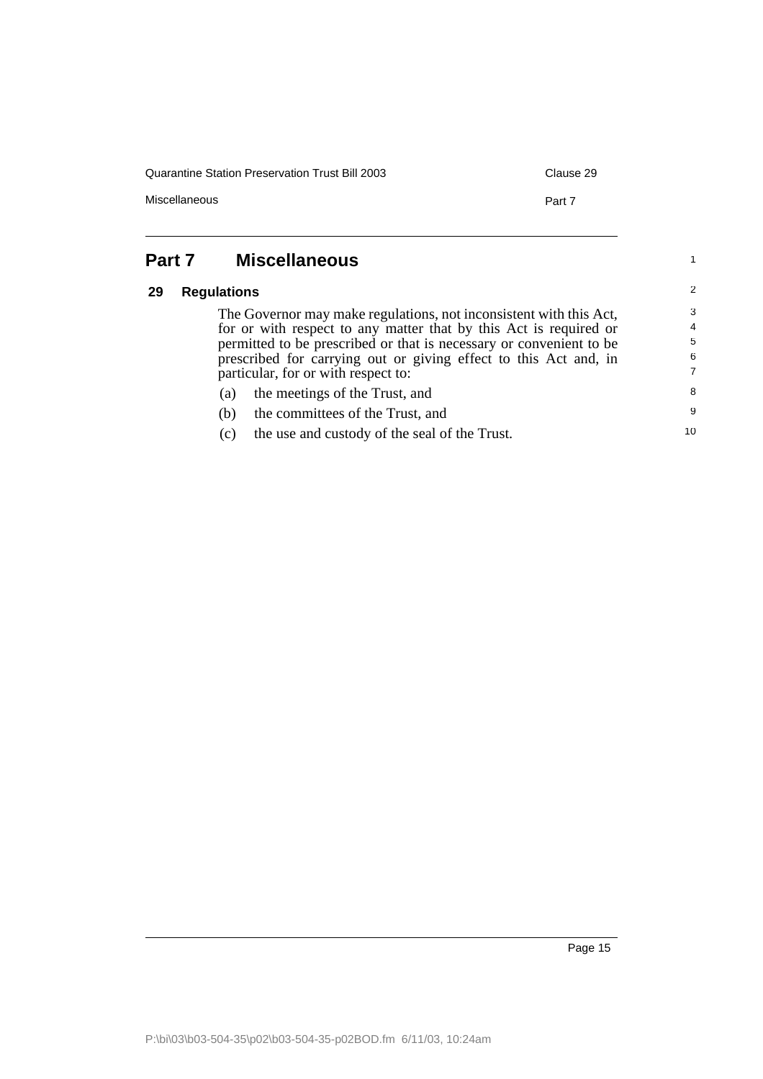Quarantine Station Preservation Trust Bill 2003 Clause 29

Miscellaneous **Part 7** 

1

### <span id="page-18-0"></span>**Part 7 Miscellaneous**

#### <span id="page-18-1"></span>**29 Regulations**

The Governor may make regulations, not inconsistent with this Act, for or with respect to any matter that by this Act is required or permitted to be prescribed or that is necessary or convenient to be prescribed for carrying out or giving effect to this Act and, in particular, for or with respect to:

| (a) | the meetings of the Trust, and                |    |
|-----|-----------------------------------------------|----|
| (b) | the committees of the Trust, and              |    |
| (c) | the use and custody of the seal of the Trust. | 10 |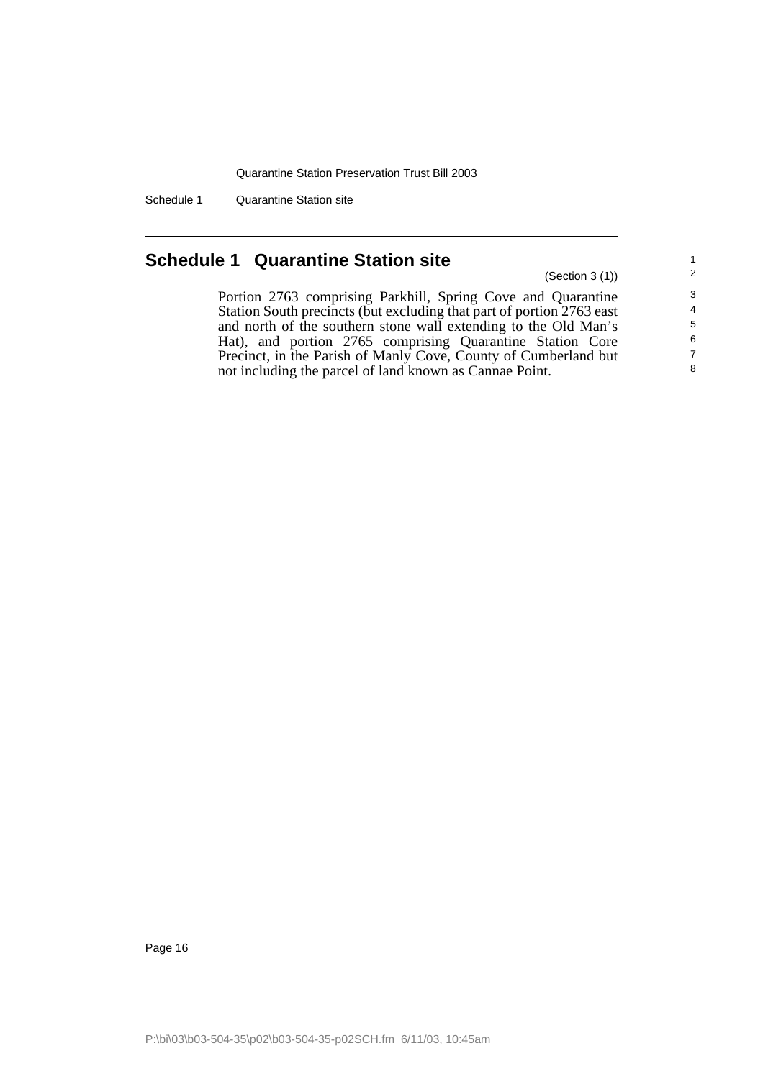Schedule 1 Quarantine Station site

### <span id="page-19-0"></span>**Schedule 1 Quarantine Station site**

(Section 3 (1))

Portion 2763 comprising Parkhill, Spring Cove and Quarantine Station South precincts (but excluding that part of portion 2763 east and north of the southern stone wall extending to the Old Man's Hat), and portion 2765 comprising Quarantine Station Core Precinct, in the Parish of Manly Cove, County of Cumberland but not including the parcel of land known as Cannae Point.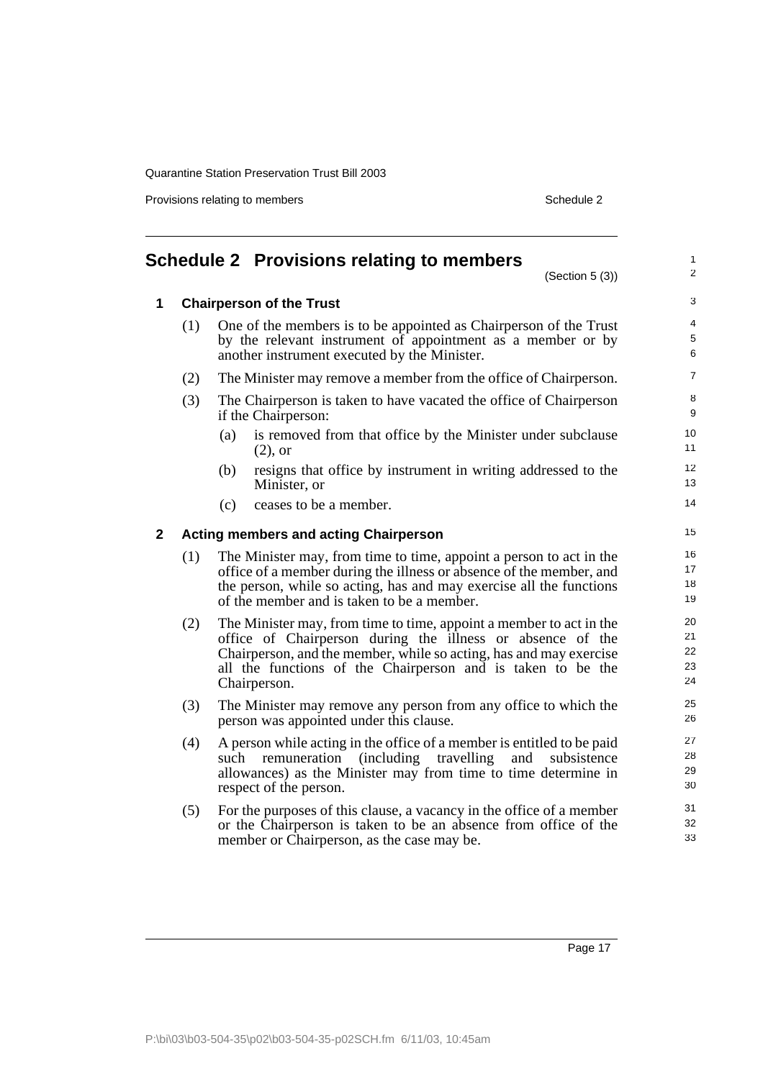Provisions relating to members Schedule 2

<span id="page-20-0"></span>

|              |     | <b>Schedule 2 Provisions relating to members</b><br>(Section 5 (3))                                                                                                                                                                                                                    | 1<br>2                     |
|--------------|-----|----------------------------------------------------------------------------------------------------------------------------------------------------------------------------------------------------------------------------------------------------------------------------------------|----------------------------|
| $\mathbf{1}$ |     | <b>Chairperson of the Trust</b>                                                                                                                                                                                                                                                        | 3                          |
|              | (1) | One of the members is to be appointed as Chairperson of the Trust<br>by the relevant instrument of appointment as a member or by<br>another instrument executed by the Minister.                                                                                                       | 4<br>5<br>6                |
|              | (2) | The Minister may remove a member from the office of Chairperson.                                                                                                                                                                                                                       | $\overline{7}$             |
|              | (3) | The Chairperson is taken to have vacated the office of Chairperson<br>if the Chairperson:                                                                                                                                                                                              | 8<br>9                     |
|              |     | is removed from that office by the Minister under subclause<br>(a)<br>$(2)$ , or                                                                                                                                                                                                       | 10<br>11                   |
|              |     | resigns that office by instrument in writing addressed to the<br>(b)<br>Minister, or                                                                                                                                                                                                   | 12<br>13                   |
|              |     | ceases to be a member.<br>(c)                                                                                                                                                                                                                                                          | 14                         |
| $\mathbf{2}$ |     | <b>Acting members and acting Chairperson</b>                                                                                                                                                                                                                                           | 15                         |
|              | (1) | The Minister may, from time to time, appoint a person to act in the<br>office of a member during the illness or absence of the member, and<br>the person, while so acting, has and may exercise all the functions<br>of the member and is taken to be a member.                        | 16<br>17<br>18<br>19       |
|              | (2) | The Minister may, from time to time, appoint a member to act in the<br>office of Chairperson during the illness or absence of the<br>Chairperson, and the member, while so acting, has and may exercise<br>all the functions of the Chairperson and is taken to be the<br>Chairperson. | 20<br>21<br>22<br>23<br>24 |
|              | (3) | The Minister may remove any person from any office to which the<br>person was appointed under this clause.                                                                                                                                                                             | 25<br>26                   |
|              | (4) | A person while acting in the office of a member is entitled to be paid<br>such remuneration (including travelling<br>and<br>subsistence<br>allowances) as the Minister may from time to time determine in<br>respect of the person.                                                    | 27<br>28<br>29<br>30       |
|              | (5) | For the purposes of this clause, a vacancy in the office of a member<br>or the Chairperson is taken to be an absence from office of the<br>member or Chairperson, as the case may be.                                                                                                  | 31<br>32<br>33             |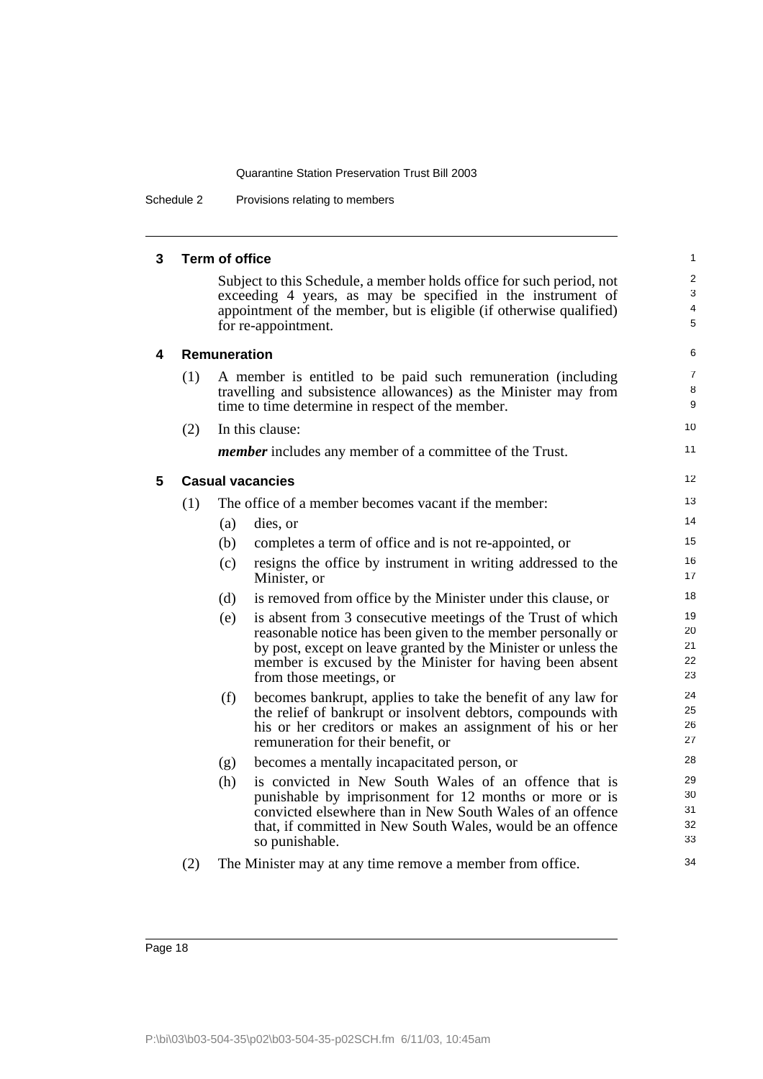Schedule 2 Provisions relating to members

| 3 |     | <b>Term of office</b> |                                                                                                                                                                                                                                                                                      | $\mathbf{1}$               |
|---|-----|-----------------------|--------------------------------------------------------------------------------------------------------------------------------------------------------------------------------------------------------------------------------------------------------------------------------------|----------------------------|
|   |     |                       | Subject to this Schedule, a member holds office for such period, not<br>exceeding 4 years, as may be specified in the instrument of<br>appointment of the member, but is eligible (if otherwise qualified)<br>for re-appointment.                                                    | 2<br>3<br>4<br>5           |
| 4 |     | Remuneration          |                                                                                                                                                                                                                                                                                      | 6                          |
|   | (1) |                       | A member is entitled to be paid such remuneration (including<br>travelling and subsistence allowances) as the Minister may from<br>time to time determine in respect of the member.                                                                                                  | $\overline{7}$<br>8<br>9   |
|   | (2) |                       | In this clause:                                                                                                                                                                                                                                                                      | 10                         |
|   |     |                       | <i>member</i> includes any member of a committee of the Trust.                                                                                                                                                                                                                       | 11                         |
| 5 |     |                       | <b>Casual vacancies</b>                                                                                                                                                                                                                                                              | 12                         |
|   | (1) |                       | The office of a member becomes vacant if the member:                                                                                                                                                                                                                                 | 13                         |
|   |     | (a)                   | dies, or                                                                                                                                                                                                                                                                             | 14                         |
|   |     | (b)                   | completes a term of office and is not re-appointed, or                                                                                                                                                                                                                               | 15                         |
|   |     | (c)                   | resigns the office by instrument in writing addressed to the<br>Minister, or                                                                                                                                                                                                         | 16<br>17                   |
|   |     | (d)                   | is removed from office by the Minister under this clause, or                                                                                                                                                                                                                         | 18                         |
|   |     | (e)                   | is absent from 3 consecutive meetings of the Trust of which<br>reasonable notice has been given to the member personally or<br>by post, except on leave granted by the Minister or unless the<br>member is excused by the Minister for having been absent<br>from those meetings, or | 19<br>20<br>21<br>22<br>23 |
|   |     | (f)                   | becomes bankrupt, applies to take the benefit of any law for<br>the relief of bankrupt or insolvent debtors, compounds with<br>his or her creditors or makes an assignment of his or her<br>remuneration for their benefit, or                                                       | 24<br>25<br>26<br>27       |
|   |     | (g)                   | becomes a mentally incapacitated person, or                                                                                                                                                                                                                                          | 28                         |
|   |     | (h)                   | is convicted in New South Wales of an offence that is<br>punishable by imprisonment for 12 months or more or is<br>convicted elsewhere than in New South Wales of an offence<br>that, if committed in New South Wales, would be an offence<br>so punishable.                         | 29<br>30<br>31<br>32<br>33 |
|   | (2) |                       | The Minister may at any time remove a member from office.                                                                                                                                                                                                                            | 34                         |
|   |     |                       |                                                                                                                                                                                                                                                                                      |                            |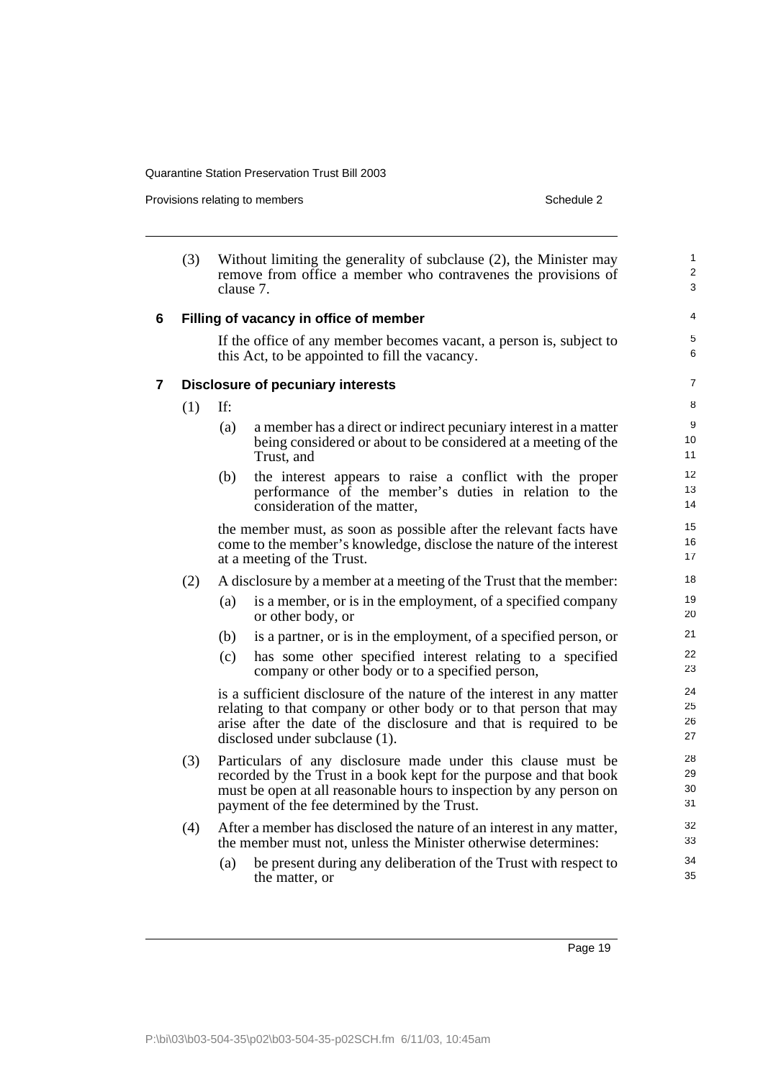Provisions relating to members Schedule 2

|   | (3) | clause 7.                  | Without limiting the generality of subclause (2), the Minister may<br>remove from office a member who contravenes the provisions of                                                                                                                      | $\mathbf{1}$<br>2<br>3     |
|---|-----|----------------------------|----------------------------------------------------------------------------------------------------------------------------------------------------------------------------------------------------------------------------------------------------------|----------------------------|
| 6 |     |                            | Filling of vacancy in office of member                                                                                                                                                                                                                   | 4                          |
|   |     |                            | If the office of any member becomes vacant, a person is, subject to<br>this Act, to be appointed to fill the vacancy.                                                                                                                                    | 5<br>6                     |
| 7 |     |                            | <b>Disclosure of pecuniary interests</b>                                                                                                                                                                                                                 | $\overline{7}$             |
|   | (1) | If:                        |                                                                                                                                                                                                                                                          | 8                          |
|   |     | (a)<br>Trust, and          | a member has a direct or indirect pecuniary interest in a matter<br>being considered or about to be considered at a meeting of the                                                                                                                       | 9<br>10 <sup>°</sup><br>11 |
|   |     | (b)                        | the interest appears to raise a conflict with the proper<br>performance of the member's duties in relation to the<br>consideration of the matter,                                                                                                        | 12<br>13<br>14             |
|   |     | at a meeting of the Trust. | the member must, as soon as possible after the relevant facts have<br>come to the member's knowledge, disclose the nature of the interest                                                                                                                | 15<br>16<br>17             |
|   | (2) |                            | A disclosure by a member at a meeting of the Trust that the member:                                                                                                                                                                                      | 18                         |
|   |     | (a)                        | is a member, or is in the employment, of a specified company<br>or other body, or                                                                                                                                                                        | 19<br>20                   |
|   |     | (b)                        | is a partner, or is in the employment, of a specified person, or                                                                                                                                                                                         | 21                         |
|   |     | (c)                        | has some other specified interest relating to a specified<br>company or other body or to a specified person,                                                                                                                                             | 22<br>23                   |
|   |     |                            | is a sufficient disclosure of the nature of the interest in any matter<br>relating to that company or other body or to that person that may<br>arise after the date of the disclosure and that is required to be<br>disclosed under subclause (1).       | 24<br>25<br>26<br>27       |
|   | (3) |                            | Particulars of any disclosure made under this clause must be<br>recorded by the Trust in a book kept for the purpose and that book<br>must be open at all reasonable hours to inspection by any person on<br>payment of the fee determined by the Trust. | 28<br>29<br>30<br>31       |
|   | (4) |                            | After a member has disclosed the nature of an interest in any matter,<br>the member must not, unless the Minister otherwise determines:                                                                                                                  | 32<br>33                   |
|   |     | (a)<br>the matter, or      | be present during any deliberation of the Trust with respect to                                                                                                                                                                                          | 34<br>35                   |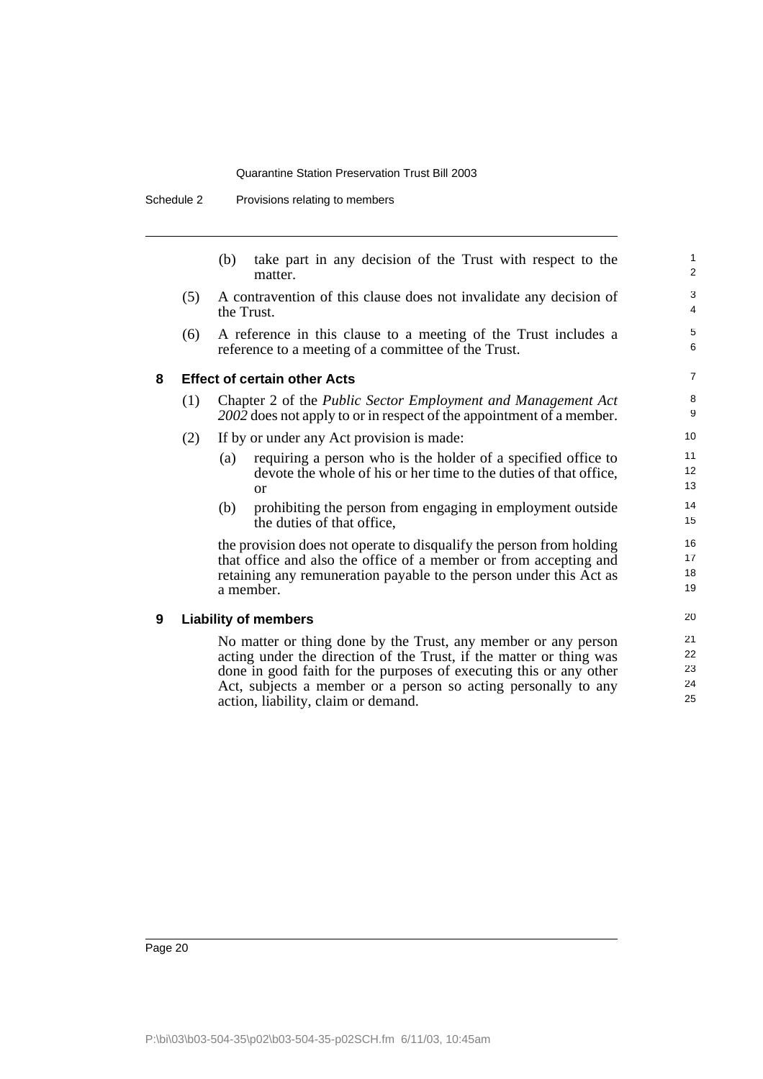|     | (b) | take part in any decision of the Trust with respect to the<br>matter.                                                  |
|-----|-----|------------------------------------------------------------------------------------------------------------------------|
| (5) |     | A contravention of this clause does not invalidate any decision of<br>the Trust.                                       |
| (6) |     | A reference in this clause to a meeting of the Trust includes a<br>reference to a meeting of a committee of the Trust. |

#### **8 Effect of certain other Acts**

| (1) | Chapter 2 of the Public Sector Employment and Management Act         |
|-----|----------------------------------------------------------------------|
|     | 2002 does not apply to or in respect of the appointment of a member. |

- (2) If by or under any Act provision is made:
	- (a) requiring a person who is the holder of a specified office to devote the whole of his or her time to the duties of that office, or
	- (b) prohibiting the person from engaging in employment outside the duties of that office,

the provision does not operate to disqualify the person from holding that office and also the office of a member or from accepting and retaining any remuneration payable to the person under this Act as a member.

#### **9 Liability of members**

No matter or thing done by the Trust, any member or any person acting under the direction of the Trust, if the matter or thing was done in good faith for the purposes of executing this or any other Act, subjects a member or a person so acting personally to any action, liability, claim or demand.

20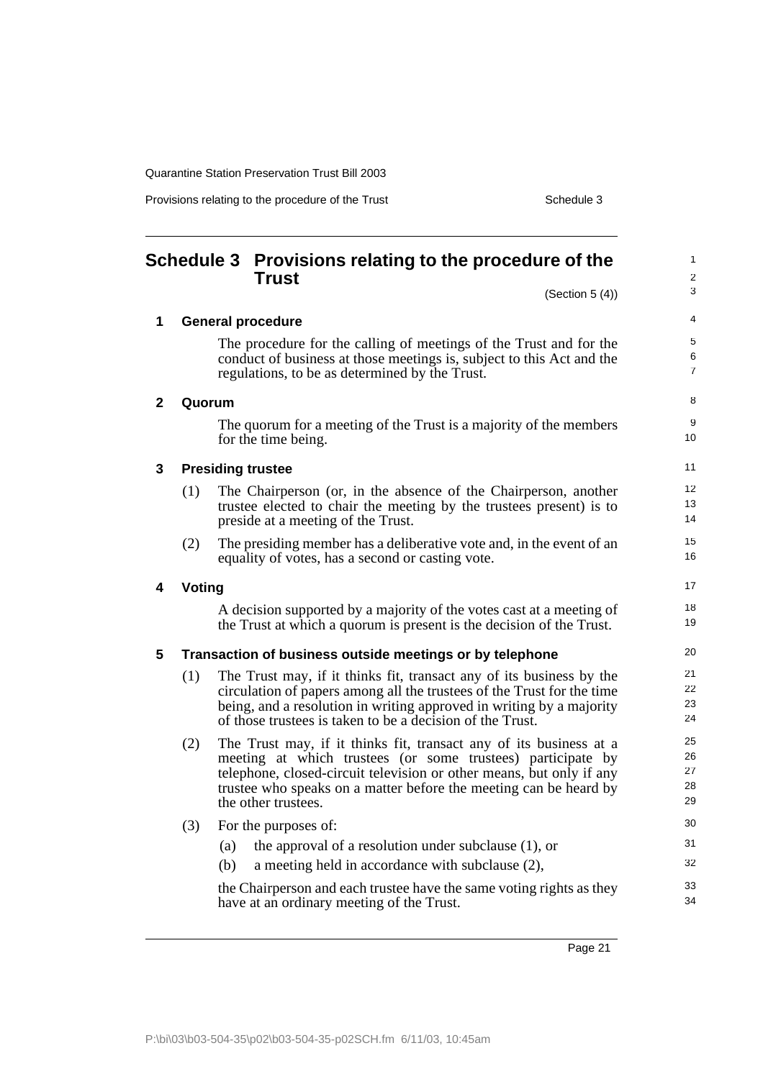Provisions relating to the procedure of the Trust Schedule 3

<span id="page-24-0"></span>

|              |        | Schedule 3 Provisions relating to the procedure of the<br><b>Trust</b>                                                                                                                                                                                                                                | $\mathbf{1}$<br>$\overline{2}$ |
|--------------|--------|-------------------------------------------------------------------------------------------------------------------------------------------------------------------------------------------------------------------------------------------------------------------------------------------------------|--------------------------------|
|              |        | (Section $5(4)$ )                                                                                                                                                                                                                                                                                     | 3                              |
| 1            |        | <b>General procedure</b>                                                                                                                                                                                                                                                                              | 4                              |
|              |        | The procedure for the calling of meetings of the Trust and for the<br>conduct of business at those meetings is, subject to this Act and the<br>regulations, to be as determined by the Trust.                                                                                                         | 5<br>6<br>$\overline{7}$       |
| $\mathbf{2}$ | Quorum |                                                                                                                                                                                                                                                                                                       | 8                              |
|              |        | The quorum for a meeting of the Trust is a majority of the members<br>for the time being.                                                                                                                                                                                                             | 9<br>10                        |
| 3            |        | <b>Presiding trustee</b>                                                                                                                                                                                                                                                                              | 11                             |
|              | (1)    | The Chairperson (or, in the absence of the Chairperson, another<br>trustee elected to chair the meeting by the trustees present) is to<br>preside at a meeting of the Trust.                                                                                                                          | 12 <sup>°</sup><br>13<br>14    |
|              | (2)    | The presiding member has a deliberative vote and, in the event of an<br>equality of votes, has a second or casting vote.                                                                                                                                                                              | 15<br>16                       |
| 4            | Voting |                                                                                                                                                                                                                                                                                                       | 17                             |
|              |        | A decision supported by a majority of the votes cast at a meeting of<br>the Trust at which a quorum is present is the decision of the Trust.                                                                                                                                                          | 18<br>19                       |
| 5            |        | Transaction of business outside meetings or by telephone                                                                                                                                                                                                                                              | 20                             |
|              | (1)    | The Trust may, if it thinks fit, transact any of its business by the<br>circulation of papers among all the trustees of the Trust for the time<br>being, and a resolution in writing approved in writing by a majority<br>of those trustees is taken to be a decision of the Trust.                   | 21<br>22<br>23<br>24           |
|              | (2)    | The Trust may, if it thinks fit, transact any of its business at a<br>meeting at which trustees (or some trustees) participate by<br>telephone, closed-circuit television or other means, but only if any<br>trustee who speaks on a matter before the meeting can be heard by<br>the other trustees. | 25<br>26<br>27<br>28<br>29     |
|              | (3)    | For the purposes of:                                                                                                                                                                                                                                                                                  | 30                             |
|              |        | the approval of a resolution under subclause $(1)$ , or<br>(a)                                                                                                                                                                                                                                        | 31                             |
|              |        | (b)<br>a meeting held in accordance with subclause (2),                                                                                                                                                                                                                                               | 32                             |
|              |        | the Chairperson and each trustee have the same voting rights as they<br>have at an ordinary meeting of the Trust.                                                                                                                                                                                     | 33<br>34                       |